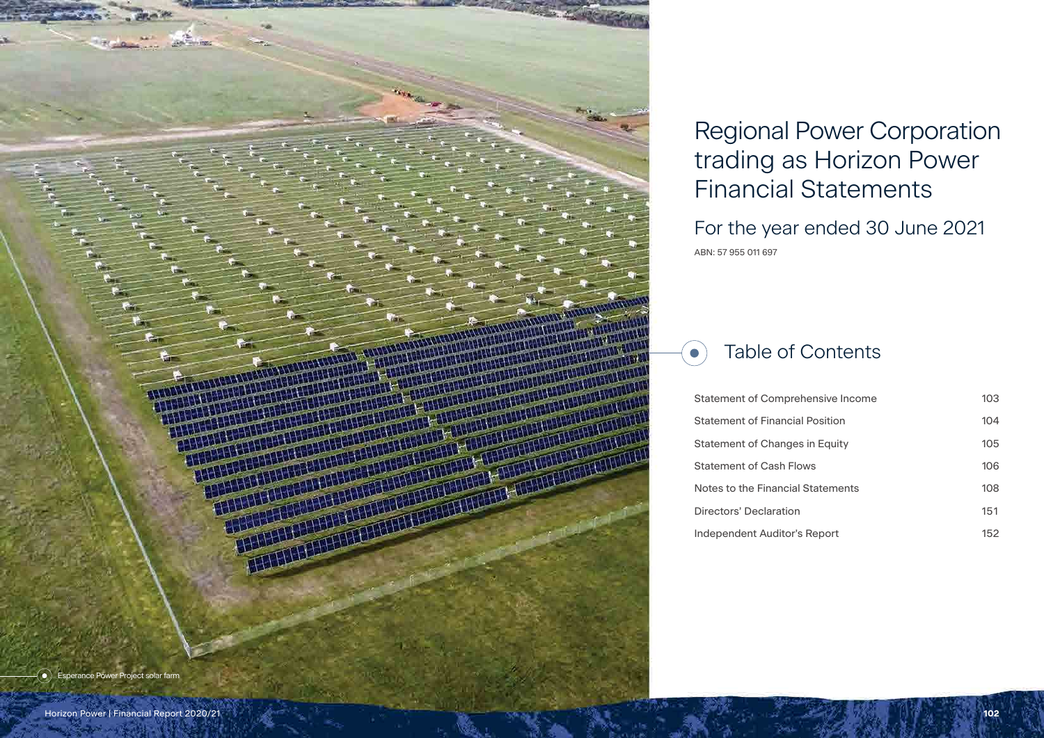# Regional Power Corporation trading as Horizon Power Financial Statements For the year ended 30 June 2021

# Table of Contents  $\bullet$

Statement of Comp **Statement of Financial Position** Statement of Chand Statement of Cash I Notes to the Financi Directors' Declaration **Independent Auditor** 

| rehensive Income | 103 |
|------------------|-----|
| cial Position    | 104 |
| ges in Equity    | 105 |
| <b>Flows</b>     | 106 |
| ial Statements   | 108 |
| วท               | 151 |
| or's Report      | 152 |

ABN: 57 955 011 697

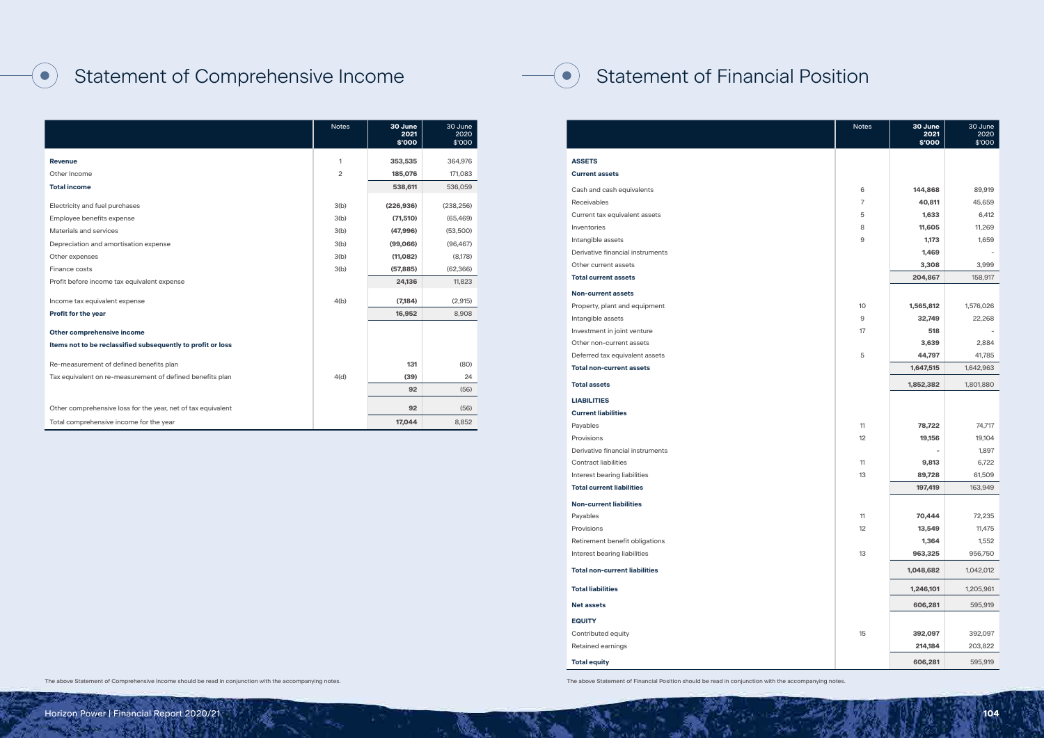# Statement of Financial Position

#### **ASSETS**

 $\bullet$ 

#### **Current assets**

|                                      | <b>Notes</b> | 30 June<br>2021<br>\$'000 | 30 June<br>2020<br>\$'000 |
|--------------------------------------|--------------|---------------------------|---------------------------|
| <b>ASSETS</b>                        |              |                           |                           |
| <b>Current assets</b>                |              |                           |                           |
| Cash and cash equivalents            | 6            | 144,868                   | 89,919                    |
| <b>Receivables</b>                   | 7            | 40,811                    | 45,659                    |
| Current tax equivalent assets        | 5            | 1,633                     | 6,412                     |
| Inventories                          | 8            | 11,605                    | 11,269                    |
| Intangible assets                    | 9            | 1,173                     | 1,659                     |
| Derivative financial instruments     |              | 1,469                     |                           |
| Other current assets                 |              | 3,308                     | 3,999                     |
| <b>Total current assets</b>          |              | 204,867                   | 158,917                   |
| <b>Non-current assets</b>            |              |                           |                           |
| Property, plant and equipment        | 10           | 1,565,812                 | 1,576,026                 |
| Intangible assets                    | 9            | 32,749                    | 22,268                    |
| Investment in joint venture          | 17           | 518                       |                           |
| Other non-current assets             |              | 3,639                     | 2,884                     |
| Deferred tax equivalent assets       | 5            | 44,797                    | 41,785                    |
| <b>Total non-current assets</b>      |              | 1,647,515                 | 1,642,963                 |
| <b>Total assets</b>                  |              | 1,852,382                 | 1,801,880                 |
| <b>LIABILITIES</b>                   |              |                           |                           |
| <b>Current liabilities</b>           |              |                           |                           |
| Payables                             | 11           | 78,722                    | 74,717                    |
| Provisions                           | 12           | 19,156                    | 19,104                    |
| Derivative financial instruments     |              |                           | 1,897                     |
| <b>Contract liabilities</b>          | 11           | 9,813                     | 6,722                     |
| Interest bearing liabilities         | 13           | 89,728                    | 61,509                    |
| <b>Total current liabilities</b>     |              | 197,419                   | 163,949                   |
| <b>Non-current liabilities</b>       |              |                           |                           |
| Payables                             | 11           | 70,444                    | 72,235                    |
| Provisions                           | 12           | 13,549                    | 11,475                    |
| Retirement benefit obligations       |              | 1,364                     | 1,552                     |
| Interest bearing liabilities         | 13           | 963,325                   | 956,750                   |
| <b>Total non-current liabilities</b> |              | 1,048,682                 | 1,042,012                 |
| <b>Total liabilities</b>             |              | 1,246,101                 | 1,205,961                 |
| <b>Net assets</b>                    |              | 606,281                   | 595,919                   |
| <b>EQUITY</b>                        |              |                           |                           |
| Contributed equity                   | 15           | 392,097                   | 392,097                   |
| Retained earnings                    |              | 214,184                   | 203,822                   |
| <b>Total equity</b>                  |              | 606,281                   | 595,919                   |

### **LIABILITIES**

#### **Current liabilities**

# **Interest bearing liabilities**

# **Total current liabilities**

#### **Non-current liabilities**

**Total liabilities** 

#### **EQUITY**

# Statement of Comprehensive Income

 $\bullet$ 

|                                                                                           | <b>Notes</b>   | 30 June<br>2021<br>\$'000 | 30 June<br>2020<br>\$'000 |
|-------------------------------------------------------------------------------------------|----------------|---------------------------|---------------------------|
| <b>Revenue</b>                                                                            | 1              | 353,535                   | 364,976                   |
| Other Income                                                                              | $\overline{c}$ | 185,076                   | 171,083                   |
| <b>Total income</b>                                                                       |                | 538,611                   | 536,059                   |
| Electricity and fuel purchases                                                            | 3(b)           | (226, 936)                | (238, 256)                |
| Employee benefits expense                                                                 | 3(b)           | (71, 510)                 | (65, 469)                 |
| Materials and services                                                                    | 3(b)           | (47,996)                  | (53,500)                  |
| Depreciation and amortisation expense                                                     | 3(b)           | (99,066)                  | (96, 467)                 |
| Other expenses                                                                            | 3(b)           | (11,082)                  | (8,178)                   |
| Finance costs                                                                             | 3(b)           | (57, 885)                 | (62, 366)                 |
| Profit before income tax equivalent expense                                               |                | 24,136                    | 11,823                    |
| Income tax equivalent expense                                                             | 4(b)           | (7, 184)                  | (2,915)                   |
| <b>Profit for the year</b>                                                                |                | 16,952                    | 8,908                     |
| Other comprehensive income<br>Items not to be reclassified subsequently to profit or loss |                |                           |                           |
| Re-measurement of defined benefits plan                                                   |                | 131                       | (80)                      |
| Tax equivalent on re-measurement of defined benefits plan                                 | 4(d)           | (39)                      | 24                        |
|                                                                                           |                | 92                        | (56)                      |
| Other comprehensive loss for the year, net of tax equivalent                              |                | 92                        | (56)                      |
| Total comprehensive income for the year                                                   |                | 17,044                    | 8,852                     |

#### The above Statement of Comprehensive Income should be read in conjunction with the accompanying notes. The above Statement of Financial Position should be read in conjunction with the accompanying notes.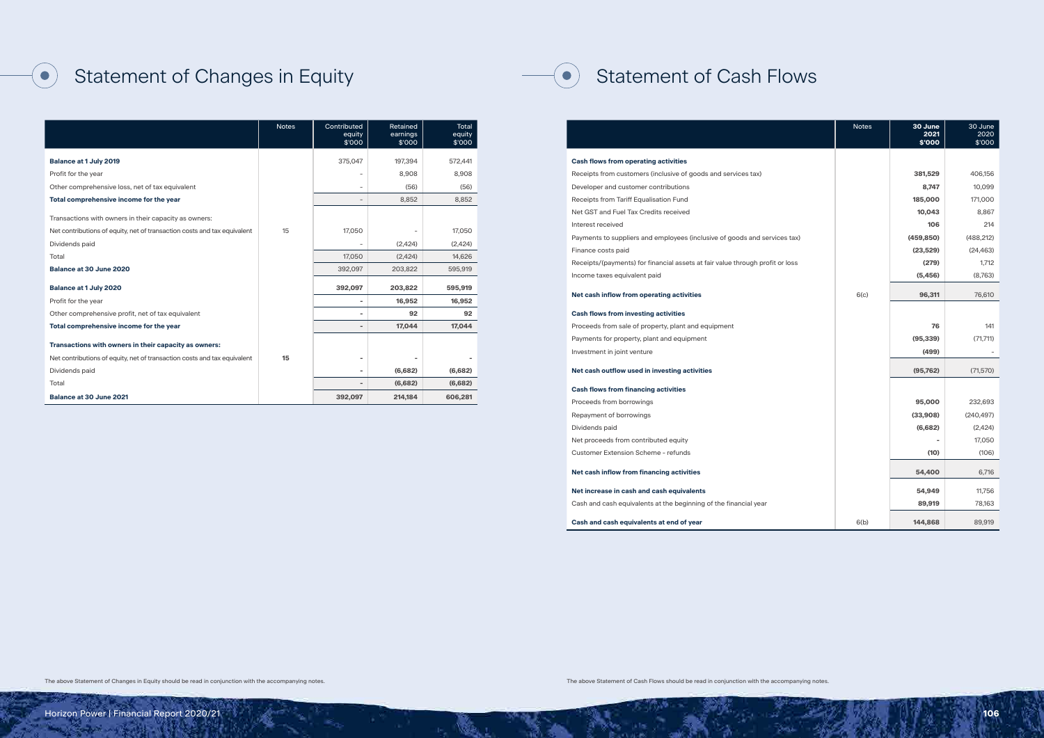# Statement of Cash Flows

|                                                                               | <b>Notes</b> | 30 June<br>2021 | 30 June<br>2020 |
|-------------------------------------------------------------------------------|--------------|-----------------|-----------------|
|                                                                               |              | \$'000          | \$'000          |
| <b>Cash flows from operating activities</b>                                   |              |                 |                 |
| Receipts from customers (inclusive of goods and services tax)                 |              | 381,529         | 406,156         |
| Developer and customer contributions                                          |              | 8,747           | 10,099          |
| Receipts from Tariff Equalisation Fund                                        |              | 185,000         | 171,000         |
| Net GST and Fuel Tax Credits received                                         |              | 10,043          | 8,867           |
| Interest received                                                             |              | 106             | 214             |
| Payments to suppliers and employees (inclusive of goods and services tax)     |              | (459, 850)      | (488, 212)      |
| Finance costs paid                                                            |              | (23, 529)       | (24, 463)       |
| Receipts/(payments) for financial assets at fair value through profit or loss |              | (279)           | 1,712           |
| Income taxes equivalent paid                                                  |              | (5, 456)        | (8,763)         |
|                                                                               | 6(c)         |                 |                 |
| Net cash inflow from operating activities                                     |              | 96,311          | 76,610          |
| <b>Cash flows from investing activities</b>                                   |              |                 |                 |
| Proceeds from sale of property, plant and equipment                           |              | 76              | 141             |
| Payments for property, plant and equipment                                    |              | (95, 339)       | (71, 711)       |
| Investment in joint venture                                                   |              | (499)           |                 |
|                                                                               |              |                 |                 |
| Net cash outflow used in investing activities                                 |              | (95, 762)       | (71, 570)       |
| <b>Cash flows from financing activities</b>                                   |              |                 |                 |
| Proceeds from borrowings                                                      |              | 95,000          | 232,693         |
| Repayment of borrowings                                                       |              | (33,908)        | (240, 497)      |
| Dividends paid                                                                |              | (6,682)         | (2,424)         |
| Net proceeds from contributed equity                                          |              |                 | 17,050          |
| <b>Customer Extension Scheme - refunds</b>                                    |              | (10)            | (106)           |
| Net cash inflow from financing activities                                     |              | 54,400          | 6,716           |
|                                                                               |              |                 |                 |
| Net increase in cash and cash equivalents                                     |              | 54,949          | 11.756          |
| Cash and cash equivalents at the beginning of the financial year              |              | 89,919          | 78,163          |
| Cash and cash equivalents at end of year                                      | 6(b)         | 144,868         | 89,919          |

 $(\bullet)$ 

# Statement of Changes in Equity

 $(\bullet)$ 

|                                                                          | <b>Notes</b> | Contributed<br>equity<br>\$'000 | Retained<br>earnings<br>\$'000 | <b>Total</b><br>equity<br>\$'000 |
|--------------------------------------------------------------------------|--------------|---------------------------------|--------------------------------|----------------------------------|
| <b>Balance at 1 July 2019</b>                                            |              | 375,047                         | 197,394                        | 572,441                          |
| Profit for the year                                                      |              | $\overline{\phantom{a}}$        | 8.908                          | 8,908                            |
| Other comprehensive loss, net of tax equivalent                          |              | $\overline{\phantom{a}}$        | (56)                           | (56)                             |
| Total comprehensive income for the year                                  |              | $\overline{\phantom{a}}$        | 8,852                          | 8,852                            |
| Transactions with owners in their capacity as owners:                    |              |                                 |                                |                                  |
| Net contributions of equity, net of transaction costs and tax equivalent | 15           | 17,050                          |                                | 17,050                           |
| Dividends paid                                                           |              | $\overline{\phantom{m}}$        | (2,424)                        | (2,424)                          |
| Total                                                                    |              | 17,050                          | (2,424)                        | 14,626                           |
| <b>Balance at 30 June 2020</b>                                           |              | 392,097                         | 203,822                        | 595,919                          |
| <b>Balance at 1 July 2020</b>                                            |              | 392,097                         | 203,822                        | 595,919                          |
| Profit for the year                                                      |              | $\overline{\phantom{a}}$        | 16,952                         | 16,952                           |
| Other comprehensive profit, net of tax equivalent                        |              | $\blacksquare$                  | 92                             | 92                               |
| Total comprehensive income for the year                                  |              | $\overline{\phantom{a}}$        | 17,044                         | 17,044                           |
| Transactions with owners in their capacity as owners:                    |              |                                 |                                |                                  |
| Net contributions of equity, net of transaction costs and tax equivalent | 15           | $\overline{\phantom{a}}$        |                                |                                  |
| Dividends paid                                                           |              | $\blacksquare$                  | (6,682)                        | (6,682)                          |
| Total                                                                    |              | $\qquad \qquad =$               | (6,682)                        | (6,682)                          |
| <b>Balance at 30 June 2021</b>                                           |              | 392,097                         | 214,184                        | 606,281                          |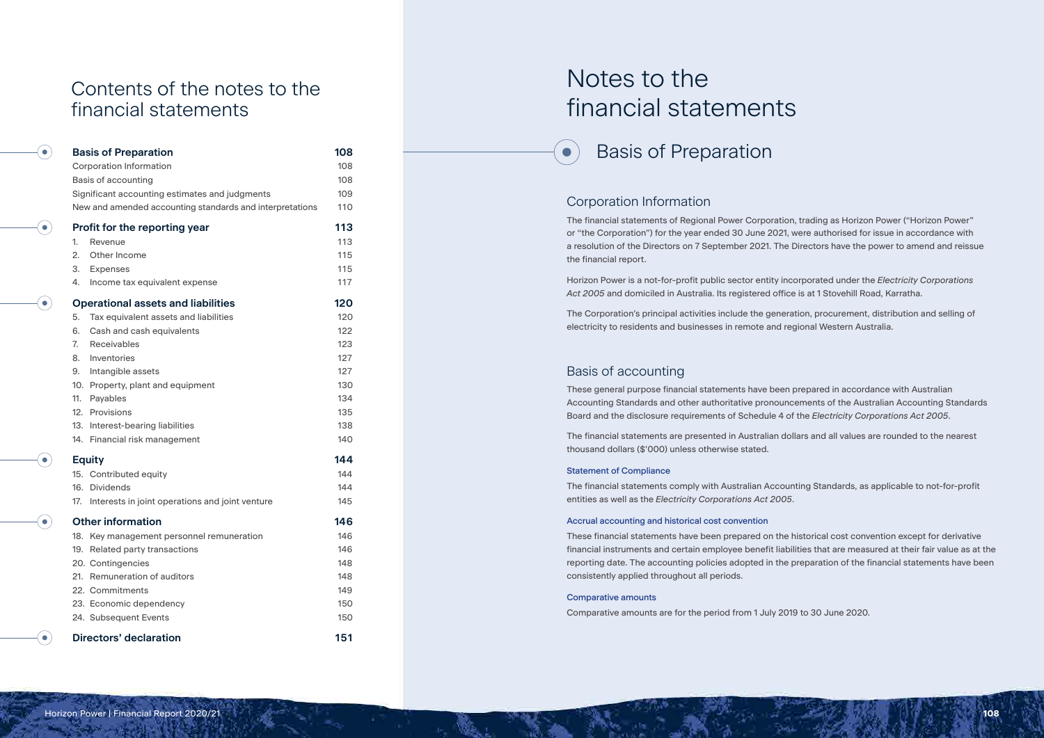# Notes to the financial statements



# Corporation Information

 $\bullet$ 

The financial statements of Regional Power Corporation, trading as Horizon Power ("Horizon Power" or "the Corporation") for the year ended 30 June 2021, were authorised for issue in accordance with a resolution of the Directors on 7 September 2021. The Directors have the power to amend and reissue the financial report.

Horizon Power is a not-for-profit public sector entity incorporated under the *Electricity Corporations Act 2005* and domiciled in Australia. Its registered office is at 1 Stovehill Road, Karratha.

The Corporation's principal activities include the generation, procurement, distribution and selling of electricity to residents and businesses in remote and regional Western Australia.

# Basis of accounting

These general purpose financial statements have been prepared in accordance with Australian Accounting Standards and other authoritative pronouncements of the Australian Accounting Standards Board and the disclosure requirements of Schedule 4 of the *Electricity Corporations Act 2005*.

The financial statements are presented in Australian dollars and all values are rounded to the nearest thousand dollars (\$'000) unless otherwise stated.

# Statement of Compliance

The financial statements comply with Australian Accounting Standards, as applicable to not-for-profit entities as well as the *Electricity Corporations Act 2005*.

# Accrual accounting and historical cost convention

These financial statements have been prepared on the historical cost convention except for derivative financial instruments and certain employee benefit liabilities that are measured at their fair value as at the reporting date. The accounting policies adopted in the preparation of the financial statements have been consistently applied throughout all periods.

### Comparative amounts

Comparative amounts are for the period from 1 July 2019 to 30 June 2020.

# Contents of the notes to the financial statements

 $\bullet$ 

 $\bullet$ 

 $\bullet$ 

Ō.

 $\bullet$ 

 $\bullet$ 

| <b>Basis of Preparation</b>                              | 108 |
|----------------------------------------------------------|-----|
| <b>Corporation Information</b>                           | 108 |
| Basis of accounting                                      | 108 |
| Significant accounting estimates and judgments           | 109 |
| New and amended accounting standards and interpretations | 110 |
| Profit for the reporting year                            | 113 |
| 1.<br>Revenue                                            | 113 |
| 2.<br>Other Income                                       | 115 |
| 3.<br>Expenses                                           | 115 |
| 4.<br>Income tax equivalent expense                      | 117 |
| <b>Operational assets and liabilities</b>                | 120 |
| 5.<br>Tax equivalent assets and liabilities              | 120 |
| 6.<br>Cash and cash equivalents                          | 122 |
| 7 <sub>1</sub><br>Receivables                            | 123 |
| Inventories<br>8.                                        | 127 |
| 9. Intangible assets                                     | 127 |
| 10. Property, plant and equipment                        | 130 |
| 11.<br>Payables                                          | 134 |
| 12. Provisions                                           | 135 |
| 13. Interest-bearing liabilities                         | 138 |
| 14. Financial risk management                            | 140 |
| <b>Equity</b>                                            | 144 |
| 15. Contributed equity                                   | 144 |
| 16. Dividends                                            | 144 |
| 17. Interests in joint operations and joint venture      | 145 |
| <b>Other information</b>                                 | 146 |
| 18. Key management personnel remuneration                | 146 |
| 19. Related party transactions                           | 146 |
| 20. Contingencies                                        | 148 |
| 21. Remuneration of auditors                             | 148 |
| 22. Commitments                                          | 149 |
| 23. Economic dependency                                  | 150 |
| 24. Subsequent Events                                    | 150 |
| <b>Directors' declaration</b>                            | 151 |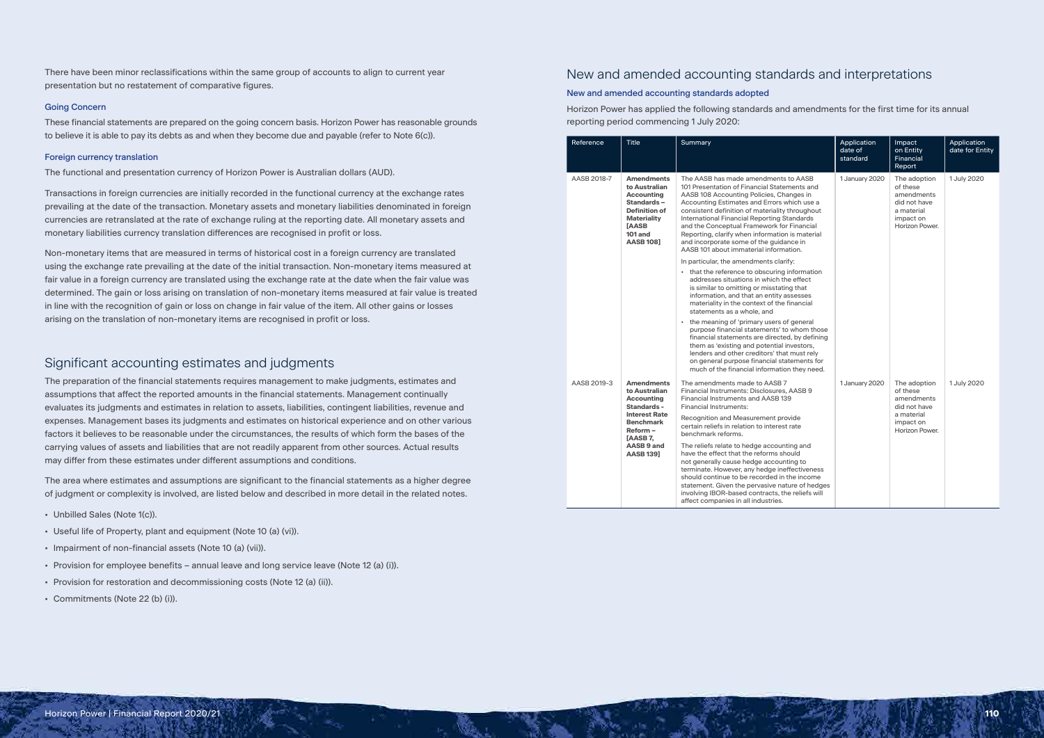There have been minor reclassifications within the same group of accounts to align to current year presentation but no restatement of comparative figures.

# Going Concern

These financial statements are prepared on the going concern basis. Horizon Power has reasonable grounds to believe it is able to pay its debts as and when they become due and payable (refer to Note 6(c)).

## Foreign currency translation

The functional and presentation currency of Horizon Power is Australian dollars (AUD).

Transactions in foreign currencies are initially recorded in the functional currency at the exchange rates prevailing at the date of the transaction. Monetary assets and monetary liabilities denominated in foreign currencies are retranslated at the rate of exchange ruling at the reporting date. All monetary assets and monetary liabilities currency translation differences are recognised in profit or loss.

Non-monetary items that are measured in terms of historical cost in a foreign currency are translated using the exchange rate prevailing at the date of the initial transaction. Non-monetary items measured at fair value in a foreign currency are translated using the exchange rate at the date when the fair value was determined. The gain or loss arising on translation of non-monetary items measured at fair value is treated in line with the recognition of gain or loss on change in fair value of the item. All other gains or losses arising on the translation of non-monetary items are recognised in profit or loss.

# Significant accounting estimates and judgments

The preparation of the financial statements requires management to make judgments, estimates and assumptions that affect the reported amounts in the financial statements. Management continually evaluates its judgments and estimates in relation to assets, liabilities, contingent liabilities, revenue and expenses. Management bases its judgments and estimates on historical experience and on other various factors it believes to be reasonable under the circumstances, the results of which form the bases of the carrying values of assets and liabilities that are not readily apparent from other sources. Actual results may differ from these estimates under different assumptions and conditions.

The area where estimates and assumptions are significant to the financial statements as a higher degree of judgment or complexity is involved, are listed below and described in more detail in the related notes.

- Unbilled Sales (Note 1(c)).
- Useful life of Property, plant and equipment (Note 10 (a) (vi)).
- Impairment of non-financial assets (Note 10 (a) (vii)).
- Provision for employee benefits annual leave and long service leave (Note 12 (a) (i)).
- Provision for restoration and decommissioning costs (Note 12 (a) (ii)).
- Commitments (Note 22 (b) (i)).

# New and amended accounting standards and interpretations

# New and amended accounting standards adopted

Horizon Power has applied the following standards and amendments for the first time for its annual reporting period commencing 1 July 2020:

| Reference   | <b>Title</b>                                                                                                                                                       | Summary                                                                                                                                                                                                                                                                                                                                                                                                                                                                 | Application<br>date of<br>standard | Impact<br>on Entity<br>Financial<br>Report                                                          | Application<br>date for Entity |
|-------------|--------------------------------------------------------------------------------------------------------------------------------------------------------------------|-------------------------------------------------------------------------------------------------------------------------------------------------------------------------------------------------------------------------------------------------------------------------------------------------------------------------------------------------------------------------------------------------------------------------------------------------------------------------|------------------------------------|-----------------------------------------------------------------------------------------------------|--------------------------------|
| AASB 2018-7 | <b>Amendments</b><br>to Australian<br><b>Accounting</b><br>Standards-<br><b>Definition of</b><br><b>Materiality</b><br>[AASB<br><b>101 and</b><br><b>AASB 1081</b> | The AASB has made amendments to AASB<br>101 Presentation of Financial Statements and<br>AASB 108 Accounting Policies, Changes in<br>Accounting Estimates and Errors which use a<br>consistent definition of materiality throughout<br>International Financial Reporting Standards<br>and the Conceptual Framework for Financial<br>Reporting, clarify when information is material<br>and incorporate some of the guidance in<br>AASB 101 about immaterial information. | 1 January 2020                     | The adoption<br>of these<br>amendments<br>did not have<br>a material<br>impact on<br>Horizon Power. | 1 July 2020                    |
|             |                                                                                                                                                                    | In particular, the amendments clarify:<br>• that the reference to obscuring information<br>addresses situations in which the effect<br>is similar to omitting or misstating that<br>information, and that an entity assesses<br>materiality in the context of the financial<br>statements as a whole, and                                                                                                                                                               |                                    |                                                                                                     |                                |
|             |                                                                                                                                                                    | • the meaning of 'primary users of general<br>purpose financial statements' to whom those<br>financial statements are directed, by defining<br>them as 'existing and potential investors,<br>lenders and other creditors' that must rely<br>on general purpose financial statements for<br>much of the financial information they need.                                                                                                                                 |                                    |                                                                                                     |                                |
| AASB 2019-3 | <b>Amendments</b><br>to Australian<br><b>Accounting</b><br>Standards -                                                                                             | The amendments made to AASB 7<br>Financial Instruments: Disclosures, AASB 9<br>Financial Instruments and AASB 139<br>Financial Instruments:                                                                                                                                                                                                                                                                                                                             | 1 January 2020                     | The adoption<br>of these<br>amendments<br>did not have                                              | 1 July 2020                    |
|             | <b>Interest Rate</b><br><b>Benchmark</b><br>$Reform -$<br>[AASB 7,                                                                                                 | Recognition and Measurement provide<br>certain reliefs in relation to interest rate<br>benchmark reforms.                                                                                                                                                                                                                                                                                                                                                               |                                    | a material<br>impact on<br>Horizon Power.                                                           |                                |
|             | AASB 9 and<br><b>AASB 139]</b>                                                                                                                                     | The reliefs relate to hedge accounting and<br>have the effect that the reforms should<br>not generally cause hedge accounting to<br>terminate. However, any hedge ineffectiveness<br>should continue to be recorded in the income<br>statement. Given the pervasive nature of hedges<br>involving IBOR-based contracts, the reliefs will<br>affect companies in all industries.                                                                                         |                                    |                                                                                                     |                                |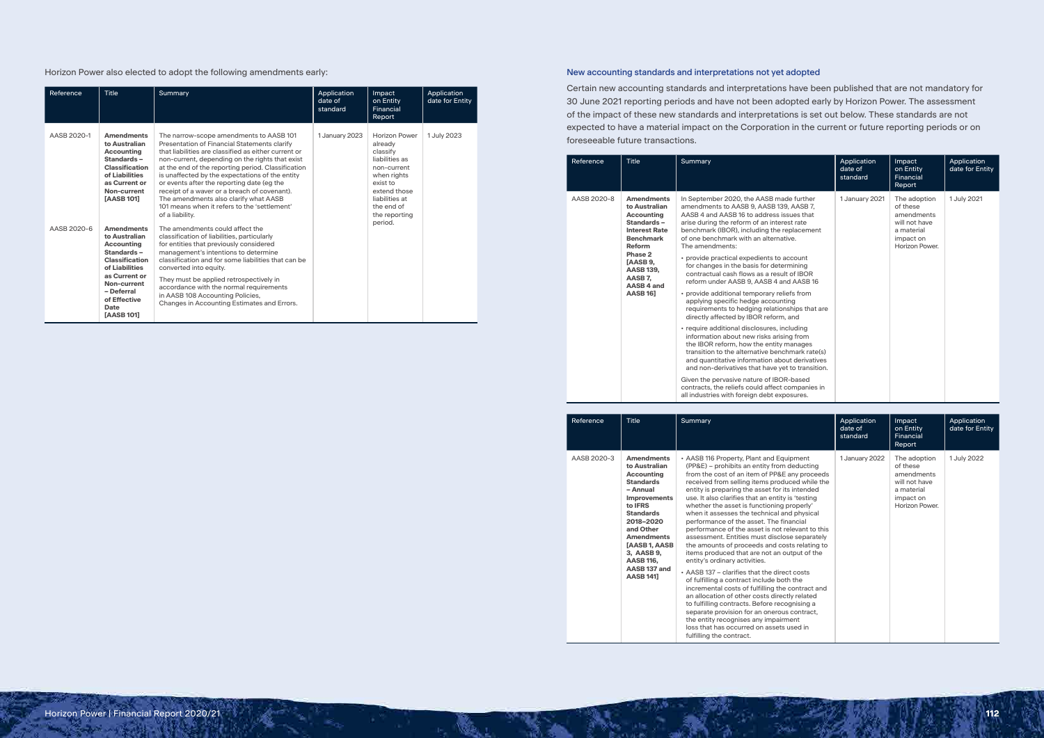Horizon Power also elected to adopt the following amendments early:

| Reference   | <b>Title</b>                                                                                                                                                                                         | Summary                                                                                                                                                                                                                                                                                                                                                                                                                                                                                                               | Application<br>date of<br>standard | Impact<br>on Entity<br>Financial<br>Report                                                                                                                                          | Application<br>date for Entity |
|-------------|------------------------------------------------------------------------------------------------------------------------------------------------------------------------------------------------------|-----------------------------------------------------------------------------------------------------------------------------------------------------------------------------------------------------------------------------------------------------------------------------------------------------------------------------------------------------------------------------------------------------------------------------------------------------------------------------------------------------------------------|------------------------------------|-------------------------------------------------------------------------------------------------------------------------------------------------------------------------------------|--------------------------------|
| AASB 2020-1 | <b>Amendments</b><br>to Australian<br>Accounting<br>Standards-<br>Classification<br>of Liabilities<br>as Current or<br>Non-current<br>[AASB 101]                                                     | The narrow-scope amendments to AASB 101<br>Presentation of Financial Statements clarify<br>that liabilities are classified as either current or<br>non-current, depending on the rights that exist<br>at the end of the reporting period. Classification<br>is unaffected by the expectations of the entity<br>or events after the reporting date (eg the<br>receipt of a waver or a breach of covenant).<br>The amendments also clarify what AASB<br>101 means when it refers to the 'settlement'<br>of a liability. | 1 January 2023                     | <b>Horizon Power</b><br>already<br>classify<br>liabilities as<br>non-current<br>when rights<br>exist to<br>extend those<br>liabilities at<br>the end of<br>the reporting<br>period. | 1 July 2023                    |
| AASB 2020-6 | <b>Amendments</b><br>to Australian<br>Accounting<br>Standards-<br><b>Classification</b><br>of Liabilities<br>as Current or<br>Non-current<br>- Deferral<br>of Effective<br>Date<br><b>[AASB 101]</b> | The amendments could affect the<br>classification of liabilities, particularly<br>for entities that previously considered<br>management's intentions to determine<br>classification and for some liabilities that can be<br>converted into equity.<br>They must be applied retrospectively in<br>accordance with the normal requirements<br>in AASB 108 Accounting Policies,<br>Changes in Accounting Estimates and Errors.                                                                                           |                                    |                                                                                                                                                                                     |                                |

# New accounting standards and interpretations not yet adopted

Certain new accounting standards and interpretations have been published that are not mandatory for 30 June 2021 reporting periods and have not been adopted early by Horizon Power. The assessment of the impact of these new standards and interpretations is set out below. These standards are not expected to have a material impact on the Corporation in the current or future reporting periods or on foreseeable future transactions.

| Reference   | <b>Title</b>                                                                                                                                                                                                      | Summary                                                                                                                                                                                                                                                                                                                                                                                                                                                                                                                                                                                                                                                                                                                                                                                                                                                                                                                                                                                                                                                                                                    | Application<br>date of<br>standard | <b>Impact</b><br>on Entity<br>Financial<br>Report                                                    | Application<br>date for Entity |
|-------------|-------------------------------------------------------------------------------------------------------------------------------------------------------------------------------------------------------------------|------------------------------------------------------------------------------------------------------------------------------------------------------------------------------------------------------------------------------------------------------------------------------------------------------------------------------------------------------------------------------------------------------------------------------------------------------------------------------------------------------------------------------------------------------------------------------------------------------------------------------------------------------------------------------------------------------------------------------------------------------------------------------------------------------------------------------------------------------------------------------------------------------------------------------------------------------------------------------------------------------------------------------------------------------------------------------------------------------------|------------------------------------|------------------------------------------------------------------------------------------------------|--------------------------------|
| AASB 2020-8 | <b>Amendments</b><br>to Australian<br><b>Accounting</b><br>Standards-<br><b>Interest Rate</b><br><b>Benchmark</b><br>Reform<br>Phase 2<br>[AASB 9,<br><b>AASB 139,</b><br>AASB7.<br>AASB 4 and<br><b>AASB 16]</b> | In September 2020, the AASB made further<br>amendments to AASB 9, AASB 139, AASB 7,<br>AASB 4 and AASB 16 to address issues that<br>arise during the reform of an interest rate<br>benchmark (IBOR), including the replacement<br>of one benchmark with an alternative.<br>The amendments:<br>• provide practical expedients to account<br>for changes in the basis for determining<br>contractual cash flows as a result of IBOR<br>reform under AASB 9, AASB 4 and AASB 16<br>• provide additional temporary reliefs from<br>applying specific hedge accounting<br>requirements to hedging relationships that are<br>directly affected by IBOR reform, and<br>• require additional disclosures, including<br>information about new risks arising from<br>the IBOR reform, how the entity manages<br>transition to the alternative benchmark rate(s)<br>and quantitative information about derivatives<br>and non-derivatives that have yet to transition.<br>Given the pervasive nature of IBOR-based<br>contracts, the reliefs could affect companies in<br>all industries with foreign debt exposures. | 1 January 2021                     | The adoption<br>of these<br>amendments<br>will not have<br>a material<br>impact on<br>Horizon Power. | 1 July 2021                    |

| Reference   | <b>Title</b>                                                                                                                                                                                                                                                                                          | Summary                                                                                                                                                                                                                                                                                                                                                                                                                                                                                                                                                                                                                                                                                                                                                                                                                                                                                                                                                                                                                                                                                            | Application<br>date of<br>standard | Impact<br>on Entity<br>Financial<br>Report                                                           | Application<br>date for Entity |
|-------------|-------------------------------------------------------------------------------------------------------------------------------------------------------------------------------------------------------------------------------------------------------------------------------------------------------|----------------------------------------------------------------------------------------------------------------------------------------------------------------------------------------------------------------------------------------------------------------------------------------------------------------------------------------------------------------------------------------------------------------------------------------------------------------------------------------------------------------------------------------------------------------------------------------------------------------------------------------------------------------------------------------------------------------------------------------------------------------------------------------------------------------------------------------------------------------------------------------------------------------------------------------------------------------------------------------------------------------------------------------------------------------------------------------------------|------------------------------------|------------------------------------------------------------------------------------------------------|--------------------------------|
| AASB 2020-3 | <b>Amendments</b><br>to Australian<br><b>Accounting</b><br><b>Standards</b><br>- Annual<br><b>Improvements</b><br>to <b>IFRS</b><br><b>Standards</b><br>2018-2020<br>and Other<br><b>Amendments</b><br>[AASB 1, AASB<br>3, AASB 9,<br><b>AASB 116,</b><br>AASB <sub>137</sub> and<br><b>AASB 1411</b> | • AASB 116 Property, Plant and Equipment<br>(PP&E) – prohibits an entity from deducting<br>from the cost of an item of PP&E any proceeds<br>received from selling items produced while the<br>entity is preparing the asset for its intended<br>use. It also clarifies that an entity is 'testing<br>whether the asset is functioning properly'<br>when it assesses the technical and physical<br>performance of the asset. The financial<br>performance of the asset is not relevant to this<br>assessment. Entities must disclose separately<br>the amounts of proceeds and costs relating to<br>items produced that are not an output of the<br>entity's ordinary activities.<br>• AASB 137 - clarifies that the direct costs<br>of fulfilling a contract include both the<br>incremental costs of fulfilling the contract and<br>an allocation of other costs directly related<br>to fulfilling contracts. Before recognising a<br>separate provision for an onerous contract,<br>the entity recognises any impairment<br>loss that has occurred on assets used in<br>fulfilling the contract. | 1 January 2022                     | The adoption<br>of these<br>amendments<br>will not have<br>a material<br>impact on<br>Horizon Power. | 1 July 2022                    |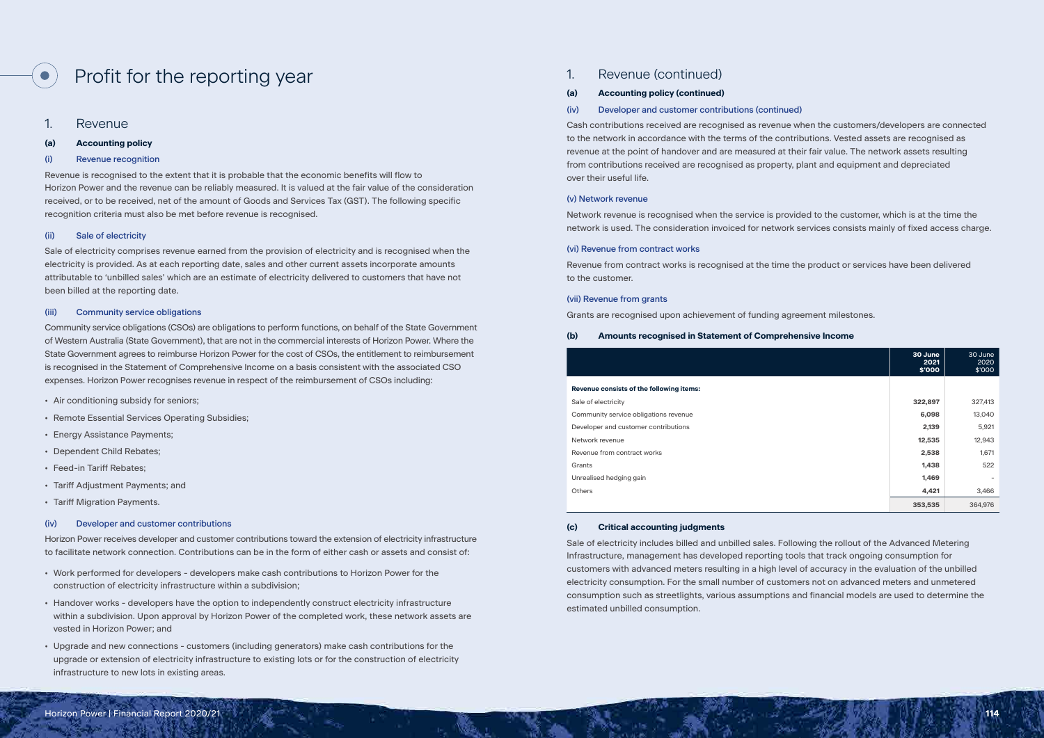# Profit for the reporting year

1. Revenue

# **(a) Accounting policy**

## (i) Revenue recognition

Revenue is recognised to the extent that it is probable that the economic benefits will flow to Horizon Power and the revenue can be reliably measured. It is valued at the fair value of the consideration received, or to be received, net of the amount of Goods and Services Tax (GST). The following specific recognition criteria must also be met before revenue is recognised.

# (ii) Sale of electricity

Sale of electricity comprises revenue earned from the provision of electricity and is recognised when the electricity is provided. As at each reporting date, sales and other current assets incorporate amounts attributable to 'unbilled sales' which are an estimate of electricity delivered to customers that have not been billed at the reporting date.

## (iii) Community service obligations

Community service obligations (CSOs) are obligations to perform functions, on behalf of the State Government of Western Australia (State Government), that are not in the commercial interests of Horizon Power. Where the State Government agrees to reimburse Horizon Power for the cost of CSOs, the entitlement to reimbursement is recognised in the Statement of Comprehensive Income on a basis consistent with the associated CSO expenses. Horizon Power recognises revenue in respect of the reimbursement of CSOs including:

- Air conditioning subsidy for seniors;
- Remote Essential Services Operating Subsidies;
- Energy Assistance Payments;
- Dependent Child Rebates;
- Feed-in Tariff Rebates;
- Tariff Adjustment Payments; and
- Tariff Migration Payments.

#### (iv) Developer and customer contributions

Horizon Power receives developer and customer contributions toward the extension of electricity infrastructure to facilitate network connection. Contributions can be in the form of either cash or assets and consist of:

- Work performed for developers developers make cash contributions to Horizon Power for the construction of electricity infrastructure within a subdivision;
- Handover works developers have the option to independently construct electricity infrastructure within a subdivision. Upon approval by Horizon Power of the completed work, these network assets are vested in Horizon Power; and
- Upgrade and new connections customers (including generators) make cash contributions for the upgrade or extension of electricity infrastructure to existing lots or for the construction of electricity infrastructure to new lots in existing areas.

# 1. Revenue (continued)

#### **(a) Accounting policy (continued)**

### (iv) Developer and customer contributions (continued)

Cash contributions received are recognised as revenue when the customers/developers are connected to the network in accordance with the terms of the contributions. Vested assets are recognised as revenue at the point of handover and are measured at their fair value. The network assets resulting from contributions received are recognised as property, plant and equipment and depreciated over their useful life.

#### (v) Network revenue

Network revenue is recognised when the service is provided to the customer, which is at the time the network is used. The consideration invoiced for network services consists mainly of fixed access charge.

### (vi) Revenue from contract works

Revenue from contract works is recognised at the time the product or services have been delivered to the customer.

#### (vii) Revenue from grants

Grants are recognised upon achievement of funding agreement milestones.

### **(b) Amounts recognised in Statement of Comprehensive Income**

#### **Revenue consists of the following items:**

|                                          | 30 June<br>2021<br>\$'000 | 30 June<br>2020<br>\$'000 |
|------------------------------------------|---------------------------|---------------------------|
| Revenue consists of the following items: |                           |                           |
| Sale of electricity                      | 322,897                   | 327,413                   |
| Community service obligations revenue    | 6,098                     | 13,040                    |
|                                          |                           |                           |
| Developer and customer contributions     | 2,139                     | 5,921                     |
| Network revenue                          | 12,535                    | 12,943                    |
| Revenue from contract works              | 2,538                     | 1,671                     |
| Grants                                   | 1,438                     | 522                       |
| Unrealised hedging gain                  | 1,469                     |                           |
| <b>Others</b>                            | 4,421                     | 3,466                     |
|                                          | 353,535                   | 364,976                   |

### **(c) Critical accounting judgments**

Sale of electricity includes billed and unbilled sales. Following the rollout of the Advanced Metering Infrastructure, management has developed reporting tools that track ongoing consumption for customers with advanced meters resulting in a high level of accuracy in the evaluation of the unbilled electricity consumption. For the small number of customers not on advanced meters and unmetered consumption such as streetlights, various assumptions and financial models are used to determine the estimated unbilled consumption.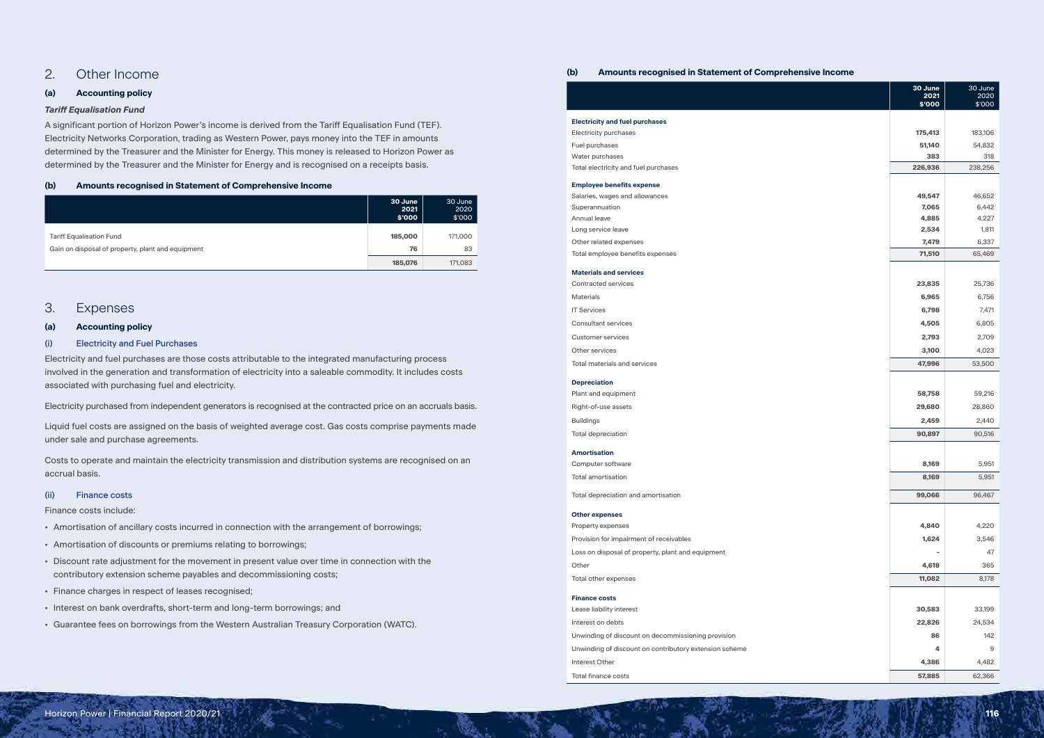# 2. Other Income

# **(a) Accounting policy**

# *Tariff Equalisation Fund*

A significant portion of Horizon Power's income is derived from the Tariff Equalisation Fund (TEF). Electricity Networks Corporation, trading as Western Power, pays money into the TEF in amounts determined by the Treasurer and the Minister for Energy. This money is released to Horizon Power as determined by the Treasurer and the Minister for Energy and is recognised on a receipts basis.

# **(b) Amounts recognised in Statement of Comprehensive Income**

|                                                   | 30 June<br>2021<br>\$'000 | 30 June<br>2020<br>\$'000 |
|---------------------------------------------------|---------------------------|---------------------------|
| <b>Tariff Equalisation Fund</b>                   | 185,000                   | 171,000                   |
| Gain on disposal of property, plant and equipment | 76                        | 83                        |
|                                                   | 185,076                   | 171,083                   |

# 3. Expenses

# **(a) Accounting policy**

# (i) Electricity and Fuel Purchases

Electricity and fuel purchases are those costs attributable to the integrated manufacturing process involved in the generation and transformation of electricity into a saleable commodity. It includes costs associated with purchasing fuel and electricity.

Electricity purchased from independent generators is recognised at the contracted price on an accruals basis.

Liquid fuel costs are assigned on the basis of weighted average cost. Gas costs comprise payments made under sale and purchase agreements.

Costs to operate and maintain the electricity transmission and distribution systems are recognised on an accrual basis.

### (ii) Finance costs

Finance costs include:

- Amortisation of ancillary costs incurred in connection with the arrangement of borrowings;
- Amortisation of discounts or premiums relating to borrowings;
- Discount rate adjustment for the movement in present value over time in connection with the contributory extension scheme payables and decommissioning costs;
- Finance charges in respect of leases recognised;
- Interest on bank overdrafts, short-term and long-term borrowings; and
- Guarantee fees on borrowings from the Western Australian Treasury Corporation (WATC).

# **(b) Amounts recognised in Statement of Comprehensive Income**

#### **Electricity and fuel purchases**

### **Employee benefits expense**

#### **Materials and services**

|                                                        | 30 June<br>2021<br>\$'000 | 30 June<br>2020<br>\$'000 |
|--------------------------------------------------------|---------------------------|---------------------------|
| <b>Electricity and fuel purchases</b>                  |                           |                           |
| Electricity purchases                                  | 175,413                   | 183,106                   |
| Fuel purchases                                         | 51,140                    | 54,832                    |
| Water purchases                                        | 383                       | 318                       |
| Total electricity and fuel purchases                   | 226,936                   | 238,256                   |
| <b>Employee benefits expense</b>                       |                           |                           |
| Salaries, wages and allowances                         | 49,547                    | 46,652                    |
| Superannuation                                         | 7,065                     | 6,442                     |
| Annual leave                                           | 4,885                     | 4,227                     |
| Long service leave                                     | 2,534                     | 1,811                     |
| Other related expenses                                 | 7,479                     | 6,337                     |
| Total employee benefits expenses                       | 71,510                    | 65,469                    |
| <b>Materials and services</b>                          |                           |                           |
| <b>Contracted services</b>                             | 23,835                    | 25,736                    |
| <b>Materials</b>                                       | 6,965                     | 6,756                     |
| <b>IT Services</b>                                     | 6,798                     | 7,471                     |
| <b>Consultant services</b>                             | 4,505                     | 6,805                     |
| <b>Customer services</b>                               | 2,793                     | 2,709                     |
| Other services                                         | 3,100                     | 4,023                     |
| <b>Total materials and services</b>                    | 47,996                    | 53,500                    |
| <b>Depreciation</b>                                    |                           |                           |
| Plant and equipment                                    | 58,758                    | 59,216                    |
| Right-of-use assets                                    | 29,680                    | 28,860                    |
| <b>Buildings</b>                                       | 2,459                     | 2,440                     |
| <b>Total depreciation</b>                              | 90,897                    | 90,516                    |
| <b>Amortisation</b>                                    |                           |                           |
| Computer software                                      | 8,169                     | 5,951                     |
| Total amortisation                                     | 8,169                     | 5,951                     |
| Total depreciation and amortisation                    | 99,066                    | 96,467                    |
| <b>Other expenses</b>                                  |                           |                           |
| Property expenses                                      | 4,840                     | 4,220                     |
| Provision for impairment of receivables                | 1,624                     | 3,546                     |
| Loss on disposal of property, plant and equipment      |                           | 47                        |
| Other                                                  | 4,618                     | 365                       |
| Total other expenses                                   | 11,082                    | 8,178                     |
| <b>Finance costs</b>                                   |                           |                           |
| Lease liability interest                               | 30,583                    | 33,199                    |
| Interest on debts                                      | 22,826                    | 24,534                    |
| Unwinding of discount on decommissioning provision     | 86                        | 142                       |
| Unwinding of discount on contributory extension scheme | 4                         | 9                         |
| Interest Other                                         | 4,386                     | 4,482                     |
| <b>Total finance costs</b>                             | 57,885                    | 62,366                    |

### **Depreciation**

### **Amortisation**

### **Other expenses**

# **Finance costs**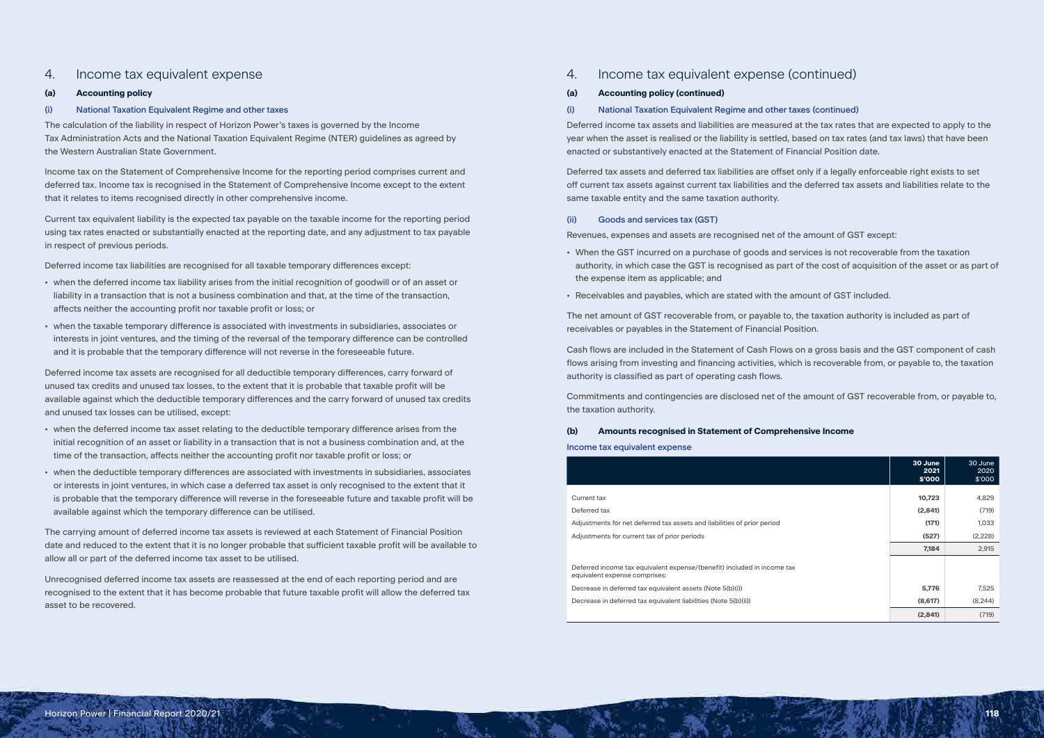# 4. Income tax equivalent expense

# **(a) Accounting policy**

# (i) National Taxation Equivalent Regime and other taxes

The calculation of the liability in respect of Horizon Power's taxes is governed by the Income Tax Administration Acts and the National Taxation Equivalent Regime (NTER) guidelines as agreed by the Western Australian State Government.

Income tax on the Statement of Comprehensive Income for the reporting period comprises current and deferred tax. Income tax is recognised in the Statement of Comprehensive Income except to the extent that it relates to items recognised directly in other comprehensive income.

Current tax equivalent liability is the expected tax payable on the taxable income for the reporting period using tax rates enacted or substantially enacted at the reporting date, and any adjustment to tax payable in respect of previous periods.

Deferred income tax liabilities are recognised for all taxable temporary differences except:

- when the deferred income tax liability arises from the initial recognition of goodwill or of an asset or liability in a transaction that is not a business combination and that, at the time of the transaction, affects neither the accounting profit nor taxable profit or loss; or
- when the taxable temporary difference is associated with investments in subsidiaries, associates or interests in joint ventures, and the timing of the reversal of the temporary difference can be controlled and it is probable that the temporary difference will not reverse in the foreseeable future.

Deferred income tax assets are recognised for all deductible temporary differences, carry forward of unused tax credits and unused tax losses, to the extent that it is probable that taxable profit will be available against which the deductible temporary differences and the carry forward of unused tax credits and unused tax losses can be utilised, except:

- when the deferred income tax asset relating to the deductible temporary difference arises from the initial recognition of an asset or liability in a transaction that is not a business combination and, at the time of the transaction, affects neither the accounting profit nor taxable profit or loss; or
- when the deductible temporary differences are associated with investments in subsidiaries, associates or interests in joint ventures, in which case a deferred tax asset is only recognised to the extent that it is probable that the temporary difference will reverse in the foreseeable future and taxable profit will be available against which the temporary difference can be utilised.

The carrying amount of deferred income tax assets is reviewed at each Statement of Financial Position date and reduced to the extent that it is no longer probable that sufficient taxable profit will be available to allow all or part of the deferred income tax asset to be utilised.

Unrecognised deferred income tax assets are reassessed at the end of each reporting period and are recognised to the extent that it has become probable that future taxable profit will allow the deferred tax asset to be recovered.

# 4. Income tax equivalent expense (continued)

## **(a) Accounting policy (continued)**

# (i) National Taxation Equivalent Regime and other taxes (continued)

Deferred income tax assets and liabilities are measured at the tax rates that are expected to apply to the year when the asset is realised or the liability is settled, based on tax rates (and tax laws) that have been enacted or substantively enacted at the Statement of Financial Position date.

Deferred tax assets and deferred tax liabilities are offset only if a legally enforceable right exists to set off current tax assets against current tax liabilities and the deferred tax assets and liabilities relate to the same taxable entity and the same taxation authority.

# (ii) Goods and services tax (GST)

Revenues, expenses and assets are recognised net of the amount of GST except:

- When the GST incurred on a purchase of goods and services is not recoverable from the taxation authority, in which case the GST is recognised as part of the cost of acquisition of the asset or as part of the expense item as applicable; and
- Receivables and payables, which are stated with the amount of GST included.

The net amount of GST recoverable from, or payable to, the taxation authority is included as part of receivables or payables in the Statement of Financial Position.

- 
- 
- Cash flows are included in the Statement of Cash Flows on a gross basis and the GST component of cash
	-

flows arising from investing and financing activities, which is recoverable from, or payable to, the taxation authority is classified as part of operating cash flows.

Commitments and contingencies are disclosed net of the amount of GST recoverable from, or payable to, the taxation authority.

# **(b) Amounts recognised in Statement of Comprehensive Income**

Income tax equivalent expense

|                                                                                                          | 30 June<br>2021<br>\$'000 | 30 June<br>2020<br>\$'000 |
|----------------------------------------------------------------------------------------------------------|---------------------------|---------------------------|
|                                                                                                          |                           |                           |
| Current tax                                                                                              | 10,723                    | 4,829                     |
| Deferred tax                                                                                             | (2,841)                   | (719)                     |
| Adjustments for net deferred tax assets and liabilities of prior period                                  | (171)                     | 1,033                     |
| Adjustments for current tax of prior periods                                                             | (527)                     | (2,228)                   |
|                                                                                                          | 7,184                     | 2,915                     |
| Deferred income tax equivalent expense/(benefit) included in income tax<br>equivalent expense comprises: |                           |                           |
| Decrease in deferred tax equivalent assets (Note 5(b)(i))                                                | 5,776                     | 7,525                     |
| Decrease in deferred tax equivalent liabilities (Note 5(b)(ii))                                          | (8,617)                   | (8, 244)                  |
|                                                                                                          | (2,841)                   | (719)                     |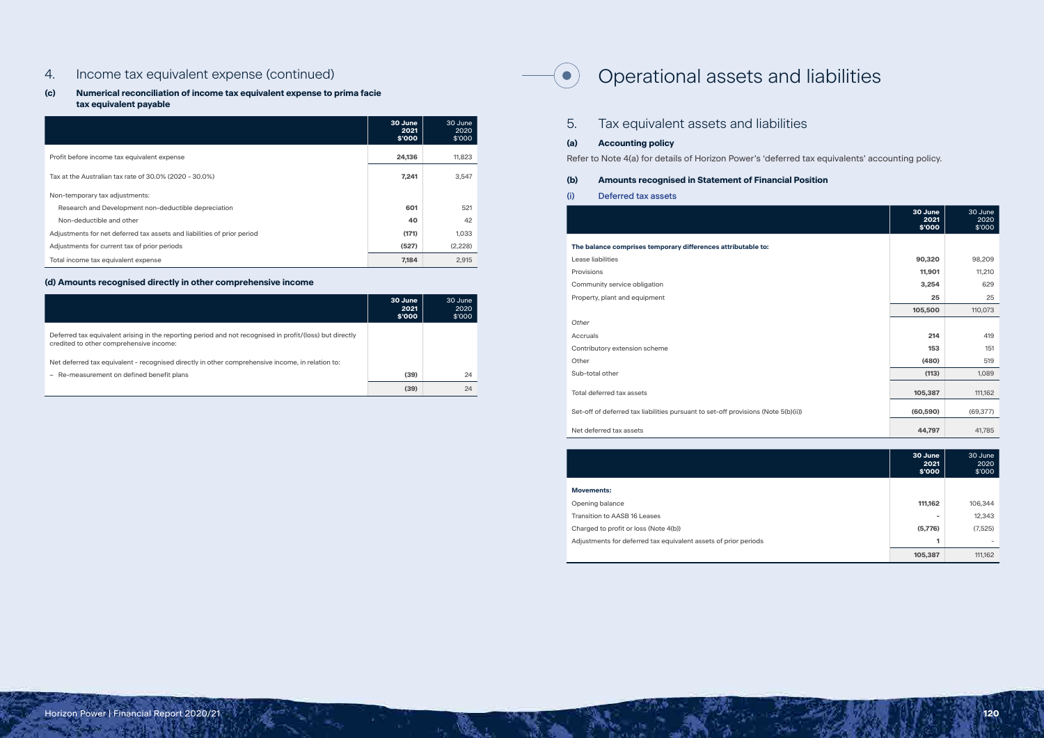# 4. Income tax equivalent expense (continued)

# **(c) Numerical reconciliation of income tax equivalent expense to prima facie tax equivalent payable**

|                                                                         | 30 June<br>2021<br>\$'000 | 30 June<br>2020<br>\$'000 |
|-------------------------------------------------------------------------|---------------------------|---------------------------|
| Profit before income tax equivalent expense                             | 24,136                    | 11,823                    |
| Tax at the Australian tax rate of 30.0% (2020 - 30.0%)                  | 7,241                     | 3,547                     |
| Non-temporary tax adjustments:                                          |                           |                           |
| Research and Development non-deductible depreciation                    | 601                       | 521                       |
| Non-deductible and other                                                | 40                        | 42                        |
| Adjustments for net deferred tax assets and liabilities of prior period | (171)                     | 1,033                     |
| Adjustments for current tax of prior periods                            | (527)                     | (2,228)                   |
| Total income tax equivalent expense                                     | 7,184                     | 2,915                     |

# **(d) Amounts recognised directly in other comprehensive income**

|                                                                                                                                                     | 30 June<br>2021<br>\$'000 | 30 June<br>2020<br>\$'000 |
|-----------------------------------------------------------------------------------------------------------------------------------------------------|---------------------------|---------------------------|
| Deferred tax equivalent arising in the reporting period and not recognised in profit/(loss) but directly<br>credited to other comprehensive income: |                           |                           |
| Net deferred tax equivalent - recognised directly in other comprehensive income, in relation to:                                                    |                           |                           |
| - Re-measurement on defined benefit plans                                                                                                           | (39)                      | 24                        |
|                                                                                                                                                     | (39)                      | 24                        |

# Operational assets and liabilities

|     | Tax equivalent assets and liabilities                          |
|-----|----------------------------------------------------------------|
| (a) | <b>Accounting policy</b>                                       |
|     | Refer to Note 4(a) for details of Horizon Power's 'deferred ta |
| (b) | <b>Amounts recognised in Statement of Financial Pos</b>        |
| (i) | Deferred tax assets                                            |

## **The balance comprises temporary differences attributable to:**

 $(\bullet)$ 

|                                                                                    | 30 June<br>2021<br>\$'000 | 30 June<br>2020<br>\$'000 |
|------------------------------------------------------------------------------------|---------------------------|---------------------------|
| The balance comprises temporary differences attributable to:                       |                           |                           |
| Lease liabilities                                                                  | 90,320                    | 98,209                    |
| Provisions                                                                         | 11,901                    | 11,210                    |
| Community service obligation                                                       | 3,254                     | 629                       |
| Property, plant and equipment                                                      | 25                        | 25                        |
|                                                                                    | 105,500                   | 110,073                   |
| Other                                                                              |                           |                           |
| Accruals                                                                           | 214                       | 419                       |
| Contributory extension scheme                                                      | 153                       | 151                       |
| Other                                                                              | (480)                     | 519                       |
| Sub-total other                                                                    | (113)                     | 1,089                     |
| Total deferred tax assets                                                          | 105,387                   | 111,162                   |
| Set-off of deferred tax liabilities pursuant to set-off provisions (Note 5(b)(ii)) | (60, 590)                 | (69, 377)                 |
| Net deferred tax assets                                                            | 44,797                    | 41,785                    |
|                                                                                    |                           |                           |

# *Other*

Sub-total other

#### **Movements:**

**Opening balance** 

**Transition to AASB 16 Leases** 

Charged to profit or loss (Note 4(b))

Adjustments for deferred tax equivalent assets of prior periods

| 30 June<br>2021<br>\$'000 | 30 June<br>2020<br>\$'000 |
|---------------------------|---------------------------|
|                           |                           |
| 111,162                   | 106,344                   |
| ۰                         | 12,343                    |
| (5,776)                   | (7,525)                   |
| 1                         |                           |
| 105,387                   | 111,162                   |

ed tax equivalents' accounting policy.

# **Position**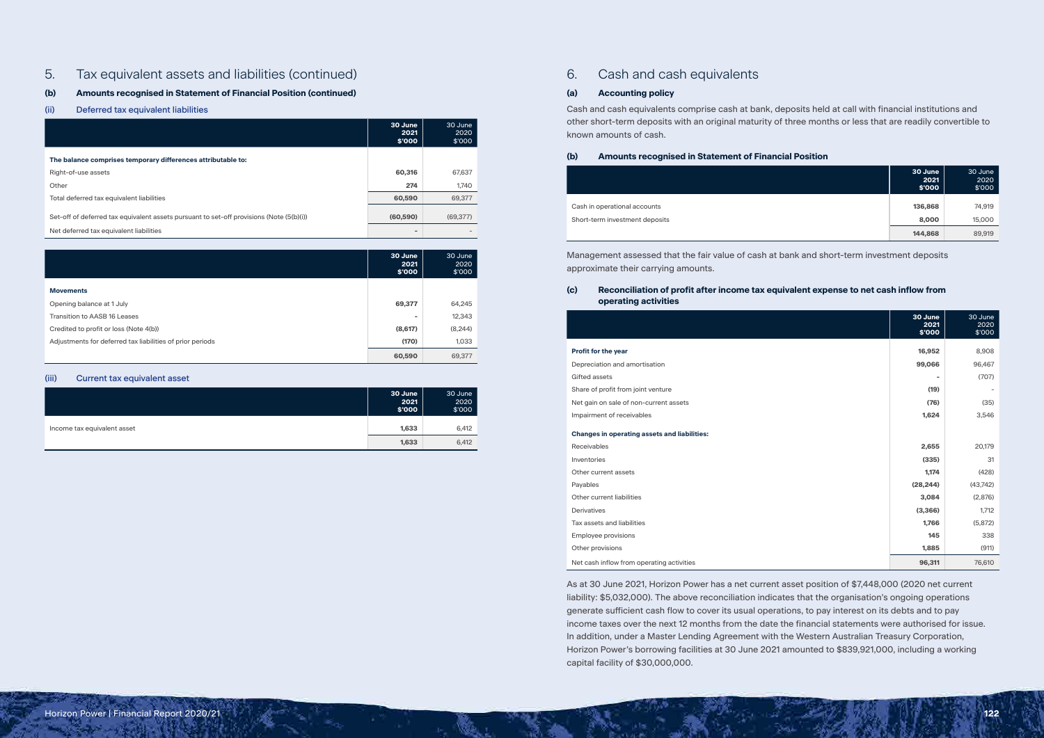# 5. Tax equivalent assets and liabilities (continued)

# **(b) Amounts recognised in Statement of Financial Position (continued)**

# (ii) Deferred tax equivalent liabilities

|                                                                                          | 30 June<br>2021<br>\$'000 | 30 June<br>2020<br>\$'000 |
|------------------------------------------------------------------------------------------|---------------------------|---------------------------|
| The balance comprises temporary differences attributable to:                             |                           |                           |
| Right-of-use assets                                                                      | 60,316                    | 67,637                    |
| Other                                                                                    | 274                       | 1,740                     |
| Total deferred tax equivalent liabilities                                                | 60,590                    | 69,377                    |
| Set-off of deferred tax equivalent assets pursuant to set-off provisions (Note (5(b)(i)) | (60, 590)                 | (69, 377)                 |
| Net deferred tax equivalent liabilities                                                  | -                         |                           |

|                                                           | 30 June<br>2021<br>\$'000 | 30 June<br>2020<br>\$'000 |
|-----------------------------------------------------------|---------------------------|---------------------------|
| <b>Movements</b>                                          |                           |                           |
| Opening balance at 1 July                                 | 69,377                    | 64,245                    |
| Transition to AASB 16 Leases                              |                           | 12,343                    |
| Credited to profit or loss (Note 4(b))                    | (8,617)                   | (8, 244)                  |
| Adjustments for deferred tax liabilities of prior periods | (170)                     | 1,033                     |
|                                                           | 60,590                    | 69,377                    |

### (iii) Current tax equivalent asset

|                             | 30 June<br>2021<br>\$'000 | 30 June<br>2020<br>\$'000 |
|-----------------------------|---------------------------|---------------------------|
| Income tax equivalent asset | 1,633                     | 6,412                     |
|                             | 1,633                     | 6,412                     |

# 6. Cash and cash equivalents

# **(a) Accounting policy**

Cash and cash equivalents comprise cash at bank, deposits held at call with financial institutions and other short-term deposits with an original maturity of three months or less that are readily convertible to known amounts of cash.

| (b) | <b>Amounts recognised in Statement of Financia</b> |
|-----|----------------------------------------------------|
|     |                                                    |

**Cash in operational accounts** 

Short-term investment deposits

| 30 June<br>2021<br>\$'000 | 30 June<br>2020<br>\$'000 |
|---------------------------|---------------------------|
| 136,868                   | 74,919                    |
| 8,000                     | 15,000                    |
| 144,868                   | 89,919                    |

Management assessed that the fair value of cash at bank and short-term investment deposits approximate their carrying amounts.

# **(c) Reconciliation of profit after income tax equivalent expense to net cash inflow from operating activities**

#### **Profit for the year**

### **Changes in operating assets and liabilities:**

| ceivables                               |
|-----------------------------------------|
| entories                                |
| her current assets                      |
| yables                                  |
| her current liabilities                 |
| rivatives                               |
| s assets and liabilities                |
| ployee provisions                       |
| her provisions                          |
| t cash inflow from operating activities |
|                                         |

|                                                     | 30 June<br>2021<br>\$'000 | 30 June<br>2020<br>\$'000 |
|-----------------------------------------------------|---------------------------|---------------------------|
| <b>Profit for the year</b>                          | 16,952                    | 8,908                     |
| Depreciation and amortisation                       | 99,066                    | 96,467                    |
| <b>Gifted assets</b>                                | ÷                         | (707)                     |
|                                                     |                           |                           |
| Share of profit from joint venture                  | (19)                      |                           |
| Net gain on sale of non-current assets              | (76)                      | (35)                      |
| Impairment of receivables                           | 1,624                     | 3,546                     |
| <b>Changes in operating assets and liabilities:</b> |                           |                           |
| Receivables                                         | 2,655                     | 20,179                    |
| Inventories                                         | (335)                     | 31                        |
| Other current assets                                | 1,174                     | (428)                     |
| Payables                                            | (28, 244)                 | (43, 742)                 |
| Other current liabilities                           | 3,084                     | (2,876)                   |
| <b>Derivatives</b>                                  | (3,366)                   | 1,712                     |
| Tax assets and liabilities                          | 1,766                     | (5,872)                   |
| <b>Employee provisions</b>                          | 145                       | 338                       |
| Other provisions                                    | 1,885                     | (911)                     |
| Net cash inflow from operating activities           | 96,311                    | 76,610                    |

As at 30 June 2021, Horizon Power has a net current asset position of \$7,448,000 (2020 net current liability: \$5,032,000). The above reconciliation indicates that the organisation's ongoing operations generate sufficient cash flow to cover its usual operations, to pay interest on its debts and to pay income taxes over the next 12 months from the date the financial statements were authorised for issue. In addition, under a Master Lending Agreement with the Western Australian Treasury Corporation, Horizon Power's borrowing facilities at 30 June 2021 amounted to \$839,921,000, including a working capital facility of \$30,000,000.

# **al Position**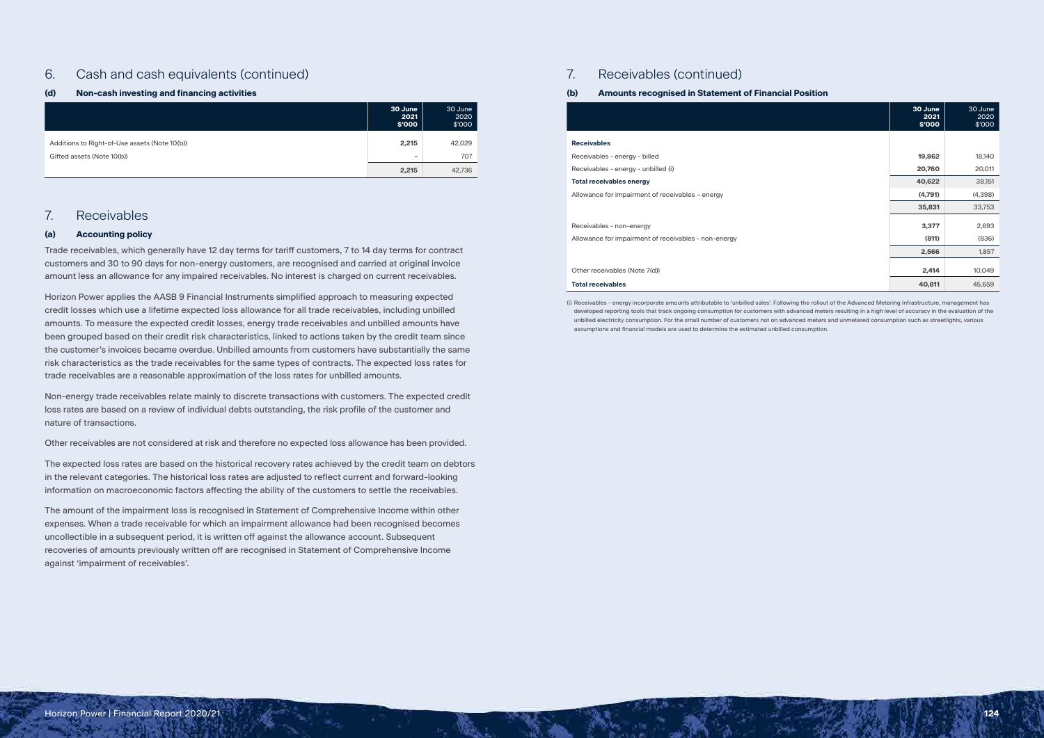# 6. Cash and cash equivalents (continued)

# **(d) Non-cash investing and financing activities**

|                                               | 30 June<br>2021<br>\$'000 | 30 June<br>2020<br>\$'000 |
|-----------------------------------------------|---------------------------|---------------------------|
| Additions to Right-of-Use assets (Note 10(b)) | 2,215                     | 42,029                    |
| Gifted assets (Note 10(b))                    | $\sim$                    | 707                       |
|                                               | 2,215                     | 42,736                    |

# 7. Receivables

# **(a) Accounting policy**

Trade receivables, which generally have 12 day terms for tariff customers, 7 to 14 day terms for contract customers and 30 to 90 days for non-energy customers, are recognised and carried at original invoice amount less an allowance for any impaired receivables. No interest is charged on current receivables.

Horizon Power applies the AASB 9 Financial Instruments simplified approach to measuring expected credit losses which use a lifetime expected loss allowance for all trade receivables, including unbilled amounts. To measure the expected credit losses, energy trade receivables and unbilled amounts have been grouped based on their credit risk characteristics, linked to actions taken by the credit team since the customer's invoices became overdue. Unbilled amounts from customers have substantially the same risk characteristics as the trade receivables for the same types of contracts. The expected loss rates for trade receivables are a reasonable approximation of the loss rates for unbilled amounts.

Non-energy trade receivables relate mainly to discrete transactions with customers. The expected credit loss rates are based on a review of individual debts outstanding, the risk profile of the customer and nature of transactions.

Receivables - non-energy Allowance for impairment of receivables - non-energy **(811)** (836)

#### Other receivables (Note 7(d))

#### **Total receivables**

Other receivables are not considered at risk and therefore no expected loss allowance has been provided.

The expected loss rates are based on the historical recovery rates achieved by the credit team on debtors in the relevant categories. The historical loss rates are adjusted to reflect current and forward-looking information on macroeconomic factors affecting the ability of the customers to settle the receivables.

The amount of the impairment loss is recognised in Statement of Comprehensive Income within other expenses. When a trade receivable for which an impairment allowance had been recognised becomes uncollectible in a subsequent period, it is written off against the allowance account. Subsequent recoveries of amounts previously written off are recognised in Statement of Comprehensive Income against 'impairment of receivables'.

# 7. Receivables (continued)

# **(b) Amounts recognised in Statement of Financial Position**

#### **Receivables**

Receivables - energy - billed Receivables - energy - unbilled (i)

#### **Total receivables energy**

Allowance for impairment of receivables - energy

| 30 June<br>2021<br>\$'000 | 30 June<br>2020<br>\$'000 |
|---------------------------|---------------------------|
|                           |                           |
| 19,862                    | 18,140                    |
| 20,760                    | 20,011                    |
| 40,622                    | 38,151                    |
| (4,791)                   | (4,398)                   |
| 35,831                    | 33,753                    |
| 3,377                     | 2,693                     |
| (811)                     | (836)                     |
| 2,566                     | 1,857                     |
| 2,414                     | 10,049                    |
| 40,811                    | 45,659                    |

(i) Receivables - energy incorporate amounts attributable to 'unbilled sales'. Following the rollout of the Advanced Metering Infrastructure, management has developed reporting tools that track ongoing consumption for customers with advanced meters resulting in a high level of accuracy in the evaluation of the unbilled electricity consumption. For the small number of customers not on advanced meters and unmetered consumption such as streetlights, various assumptions and financial models are used to determine the estimated unbilled consumption.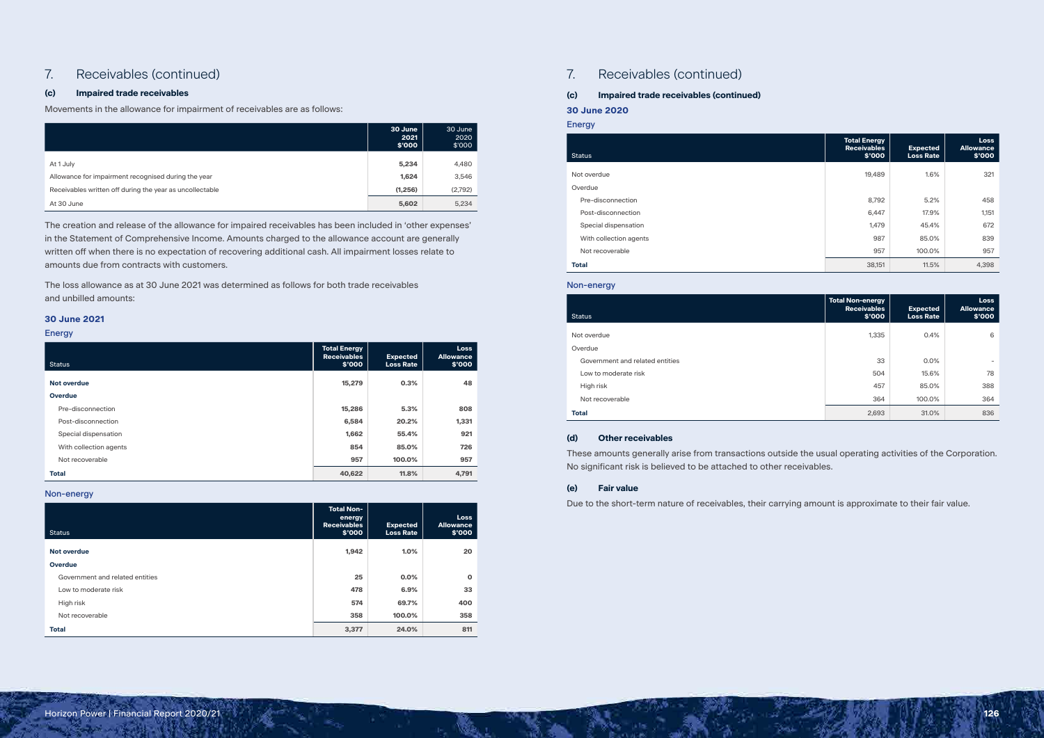# 7. Receivables (continued)

# **(c) Impaired trade receivables**

Movements in the allowance for impairment of receivables are as follows:

|                                                          | 30 June<br>2021<br>\$'000 | 30 June<br>2020<br>\$'000 |
|----------------------------------------------------------|---------------------------|---------------------------|
| At 1 July                                                | 5,234                     | 4,480                     |
| Allowance for impairment recognised during the year      | 1,624                     | 3,546                     |
| Receivables written off during the year as uncollectable | (1,256)                   | (2,792)                   |
| At 30 June                                               | 5,602                     | 5,234                     |

The creation and release of the allowance for impaired receivables has been included in 'other expenses' in the Statement of Comprehensive Income. Amounts charged to the allowance account are generally written off when there is no expectation of recovering additional cash. All impairment losses relate to amounts due from contracts with customers.

The loss allowance as at 30 June 2021 was determined as follows for both trade receivables and unbilled amounts:

# **30 June 2021**

#### Energy

| <b>Status</b>          | <b>Total Energy</b><br><b>Receivables</b><br>\$'000 | <b>Expected</b><br><b>Loss Rate</b> | <b>Loss</b><br><b>Allowance</b><br>\$'000 |
|------------------------|-----------------------------------------------------|-------------------------------------|-------------------------------------------|
| <b>Not overdue</b>     | 15,279                                              | 0.3%                                | 48                                        |
| <b>Overdue</b>         |                                                     |                                     |                                           |
| Pre-disconnection      | 15,286                                              | 5.3%                                | 808                                       |
| Post-disconnection     | 6,584                                               | 20.2%                               | 1,331                                     |
| Special dispensation   | 1,662                                               | 55.4%                               | 921                                       |
| With collection agents | 854                                                 | 85.0%                               | 726                                       |
| Not recoverable        | 957                                                 | 100.0%                              | 957                                       |
| <b>Total</b>           | 40,622                                              | 11.8%                               | 4,791                                     |

# Overdue Government and related entities Low to moderate risk Not recoverable

Non-energy

| <b>Status</b>                   | <b>Total Non-</b><br>energy<br><b>Receivables</b><br>\$'000 | <b>Expected</b><br><b>Loss Rate</b> | <b>Loss</b><br><b>Allowance</b><br>\$'000 |
|---------------------------------|-------------------------------------------------------------|-------------------------------------|-------------------------------------------|
| <b>Not overdue</b>              | 1,942                                                       | 1.0%                                | 20                                        |
| Overdue                         |                                                             |                                     |                                           |
| Government and related entities | 25                                                          | 0.0%                                | $\mathbf 0$                               |
| Low to moderate risk            | 478                                                         | 6.9%                                | 33                                        |
| High risk                       | 574                                                         | 69.7%                               | 400                                       |
| Not recoverable                 | 358                                                         | 100.0%                              | 358                                       |
| <b>Total</b>                    | 3,377                                                       | 24.0%                               | 811                                       |

# 7. Receivables (continued)

# **(c) Impaired trade receivables (continued)**

# **30 June 2020**

| atus                   | <b>Total Energy</b><br><b>Receivables</b><br>\$'000 | <b>Expected</b><br><b>Loss Rate</b> | <b>Loss</b><br><b>Allowance</b><br>\$'000 |
|------------------------|-----------------------------------------------------|-------------------------------------|-------------------------------------------|
| t overdue              |                                                     | 1.6%                                |                                           |
|                        | 19,489                                              |                                     | 321                                       |
| erdue                  |                                                     |                                     |                                           |
| Pre-disconnection      | 8,792                                               | 5.2%                                | 458                                       |
| Post-disconnection     | 6,447                                               | 17.9%                               | 1,151                                     |
| Special dispensation   | 1,479                                               | 45.4%                               | 672                                       |
| With collection agents | 987                                                 | 85.0%                               | 839                                       |
| Not recoverable        | 957                                                 | 100.0%                              | 957                                       |
| tal                    | 38,151                                              | 11.5%                               | 4,398                                     |
|                        |                                                     |                                     |                                           |

| <b>Energy</b>          |                                                         |                                     |                                    |
|------------------------|---------------------------------------------------------|-------------------------------------|------------------------------------|
| <b>Status</b>          | <b>Total Energy</b><br><b>Receivables</b><br>\$'000     | <b>Expected</b><br><b>Loss Rate</b> | Loss<br><b>Allowance</b><br>\$'000 |
| Not overdue            | 19,489                                                  | 1.6%                                | 321                                |
| Overdue                |                                                         |                                     |                                    |
| Pre-disconnection      | 8,792                                                   | 5.2%                                | 458                                |
| Post-disconnection     | 6,447                                                   | 17.9%                               | 1,151                              |
| Special dispensation   | 1,479                                                   | 45.4%                               | 672                                |
| With collection agents | 987                                                     | 85.0%                               | 839                                |
| Not recoverable        | 957                                                     | 100.0%                              | 957                                |
| <b>Total</b>           | 38,151                                                  | 11.5%                               | 4,398                              |
| Non-energy             |                                                         |                                     |                                    |
| <b>Status</b>          | <b>Total Non-energy</b><br><b>Receivables</b><br>\$'000 | <b>Expected</b><br><b>Loss Rate</b> | Loss<br><b>Allowance</b><br>\$'000 |
| Not overdue            | 1,335                                                   | 0.4%                                | 6                                  |

| <b>Status</b>                   | <b>Total Non-energy</b><br><b>Receivables</b><br>\$'000 | <b>Expected</b><br><b>Loss Rate</b> | <b>Loss</b><br><b>Allowance</b><br>\$'000 |
|---------------------------------|---------------------------------------------------------|-------------------------------------|-------------------------------------------|
| Not overdue                     | 1,335                                                   | 0.4%                                | 6                                         |
| Overdue                         |                                                         |                                     |                                           |
| Government and related entities | 33                                                      | 0.0%                                | $\overline{\phantom{a}}$                  |
| Low to moderate risk            | 504                                                     | 15.6%                               | 78                                        |
| High risk                       | 457                                                     | 85.0%                               | 388                                       |
| Not recoverable                 | 364                                                     | 100.0%                              | 364                                       |
| <b>Total</b>                    | 2,693                                                   | 31.0%                               | 836                                       |

### **(d) Other receivables**

These amounts generally arise from transactions outside the usual operating activities of the Corporation. No significant risk is believed to be attached to other receivables.

# **(e) Fair value**

Due to the short-term nature of receivables, their carrying amount is approximate to their fair value.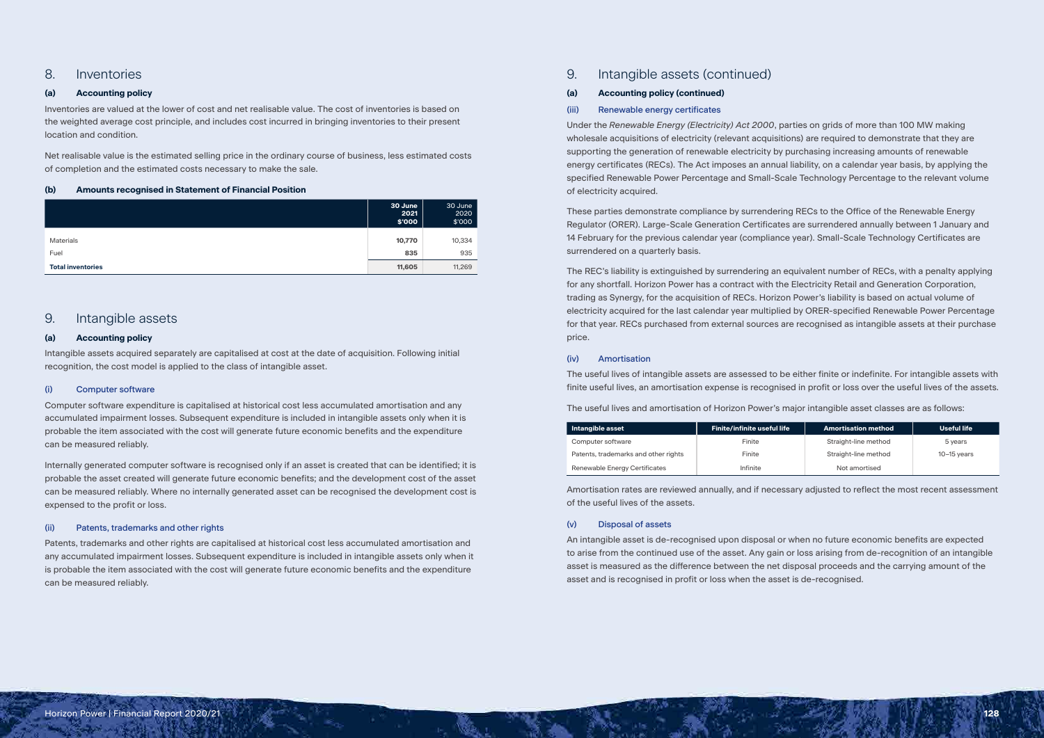# 8. Inventories

# **(a) Accounting policy**

Inventories are valued at the lower of cost and net realisable value. The cost of inventories is based on the weighted average cost principle, and includes cost incurred in bringing inventories to their present location and condition.

Net realisable value is the estimated selling price in the ordinary course of business, less estimated costs of completion and the estimated costs necessary to make the sale.

# **(b) Amounts recognised in Statement of Financial Position**

|                          | 30 June<br>2021<br>\$'000 | 30 June<br>2020<br>\$'000 |
|--------------------------|---------------------------|---------------------------|
| <b>Materials</b>         | 10,770                    | 10,334                    |
| Fuel                     | 835                       | 935                       |
| <b>Total inventories</b> | 11,605                    | 11,269                    |

# 9. Intangible assets

# **(a) Accounting policy**

Intangible assets acquired separately are capitalised at cost at the date of acquisition. Following initial recognition, the cost model is applied to the class of intangible asset.

# (i) Computer software

Computer software expenditure is capitalised at historical cost less accumulated amortisation and any accumulated impairment losses. Subsequent expenditure is included in intangible assets only when it is probable the item associated with the cost will generate future economic benefits and the expenditure can be measured reliably.

Internally generated computer software is recognised only if an asset is created that can be identified; it is probable the asset created will generate future economic benefits; and the development cost of the asset can be measured reliably. Where no internally generated asset can be recognised the development cost is expensed to the profit or loss.

# (ii) Patents, trademarks and other rights

Patents, trademarks and other rights are capitalised at historical cost less accumulated amortisation and any accumulated impairment losses. Subsequent expenditure is included in intangible assets only when it is probable the item associated with the cost will generate future economic benefits and the expenditure can be measured reliably.

# 9. Intangible assets (continued)

# **(a) Accounting policy (continued)**

# (iii) Renewable energy certificates

Under the *Renewable Energy (Electricity) Act 2000*, parties on grids of more than 100 MW making wholesale acquisitions of electricity (relevant acquisitions) are required to demonstrate that they are supporting the generation of renewable electricity by purchasing increasing amounts of renewable energy certificates (RECs). The Act imposes an annual liability, on a calendar year basis, by applying the specified Renewable Power Percentage and Small-Scale Technology Percentage to the relevant volume of electricity acquired.

These parties demonstrate compliance by surrendering RECs to the Office of the Renewable Energy Regulator (ORER). Large-Scale Generation Certificates are surrendered annually between 1 January and 14 February for the previous calendar year (compliance year). Small-Scale Technology Certificates are surrendered on a quarterly basis.

The REC's liability is extinguished by surrendering an equivalent number of RECs, with a penalty applying for any shortfall. Horizon Power has a contract with the Electricity Retail and Generation Corporation, trading as Synergy, for the acquisition of RECs. Horizon Power's liability is based on actual volume of electricity acquired for the last calendar year multiplied by ORER-specified Renewable Power Percentage for that year. RECs purchased from external sources are recognised as intangible assets at their purchase price.

# (iv) Amortisation

The useful lives of intangible assets are assessed to be either finite or indefinite. For intangible assets with finite useful lives, an amortisation expense is recognised in profit or loss over the useful lives of the assets.

The useful lives and amortisation of Horizon Power's major intangible asset classes are as follows:

| Intangible asset                     | <b>Finite/infinite useful life</b> | <b>Amortisation method</b> | Useful life   |
|--------------------------------------|------------------------------------|----------------------------|---------------|
| Computer software                    | Finite                             | Straight-line method       | 5 years       |
| Patents, trademarks and other rights | Finite                             | Straight-line method       | $10-15$ vears |
| Renewable Energy Certificates        | Infinite                           | Not amortised              |               |

Amortisation rates are reviewed annually, and if necessary adjusted to reflect the most recent assessment of the useful lives of the assets.

# (v) Disposal of assets

An intangible asset is de-recognised upon disposal or when no future economic benefits are expected to arise from the continued use of the asset. Any gain or loss arising from de-recognition of an intangible asset is measured as the difference between the net disposal proceeds and the carrying amount of the asset and is recognised in profit or loss when the asset is de-recognised.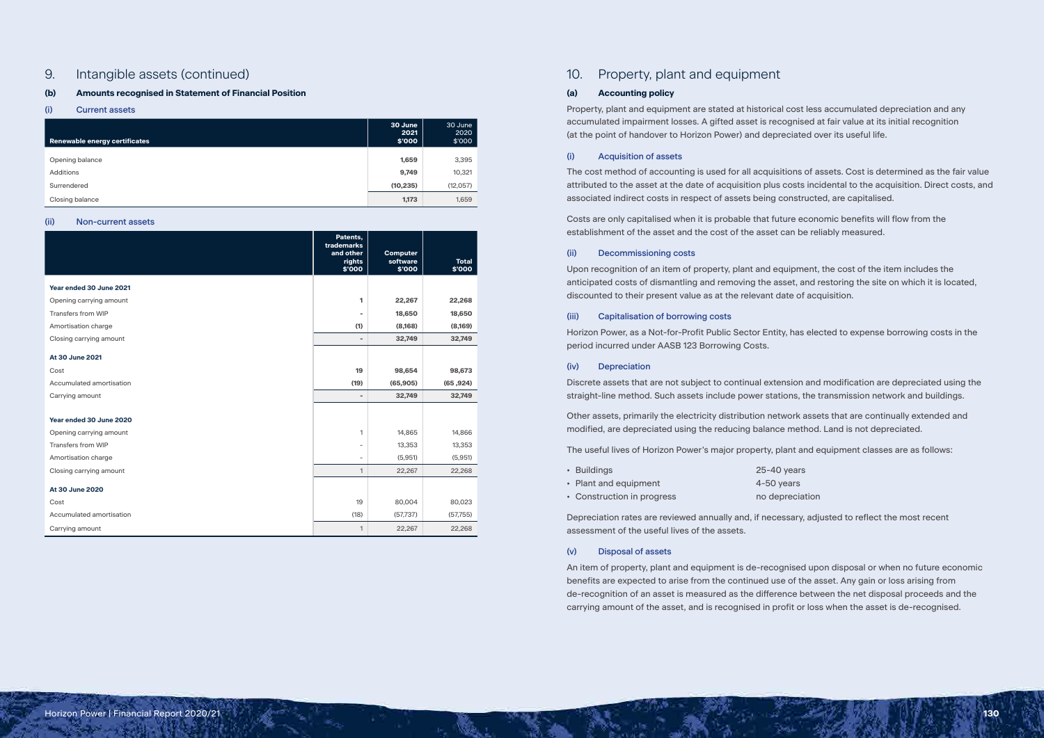# 9. Intangible assets (continued)

# **(b) Amounts recognised in Statement of Financial Position**

## (i) Current assets

| Renewable energy certificates | 30 June<br>2021<br>\$'000 | 30 June<br>2020<br>\$'000 |
|-------------------------------|---------------------------|---------------------------|
| Opening balance               | 1,659                     | 3,395                     |
| <b>Additions</b>              | 9,749                     | 10,321                    |
| Surrendered                   | (10, 235)                 | (12,057)                  |
| Closing balance               | 1,173                     | 1,659                     |

#### (ii) Non-current assets

|                           | Patents,<br>trademarks<br>and other<br>rights<br>\$'000 | <b>Computer</b><br>software<br>\$'000 | <b>Total</b><br>\$'000 |
|---------------------------|---------------------------------------------------------|---------------------------------------|------------------------|
| Year ended 30 June 2021   |                                                         |                                       |                        |
| Opening carrying amount   | 1                                                       | 22,267                                | 22,268                 |
| <b>Transfers from WIP</b> | $\blacksquare$                                          | 18,650                                | 18,650                 |
| Amortisation charge       | (1)                                                     | (8,168)                               | (8,169)                |
| Closing carrying amount   | $\qquad \qquad \blacksquare$                            | 32,749                                | 32,749                 |
| At 30 June 2021           |                                                         |                                       |                        |
| Cost                      | 19                                                      | 98,654                                | 98,673                 |
| Accumulated amortisation  | (19)                                                    | (65, 905)                             | (65, 924)              |
| Carrying amount           | $\blacksquare$                                          | 32,749                                | 32,749                 |
|                           |                                                         |                                       |                        |
| Year ended 30 June 2020   |                                                         |                                       |                        |
| Opening carrying amount   | 1                                                       | 14,865                                | 14,866                 |
| <b>Transfers from WIP</b> | $\overline{\phantom{0}}$                                | 13,353                                | 13,353                 |
| Amortisation charge       | $\overline{\phantom{a}}$                                | (5,951)                               | (5,951)                |
| Closing carrying amount   | 1                                                       | 22,267                                | 22,268                 |
| At 30 June 2020           |                                                         |                                       |                        |
| Cost                      | 19                                                      | 80,004                                | 80,023                 |
| Accumulated amortisation  | (18)                                                    | (57, 737)                             | (57,755)               |
| Carrying amount           | 1                                                       | 22,267                                | 22,268                 |

# 10. Property, plant and equipment

# **(a) Accounting policy**

Property, plant and equipment are stated at historical cost less accumulated depreciation and any accumulated impairment losses. A gifted asset is recognised at fair value at its initial recognition (at the point of handover to Horizon Power) and depreciated over its useful life.

# (i) Acquisition of assets

The cost method of accounting is used for all acquisitions of assets. Cost is determined as the fair value attributed to the asset at the date of acquisition plus costs incidental to the acquisition. Direct costs, and associated indirect costs in respect of assets being constructed, are capitalised.

Costs are only capitalised when it is probable that future economic benefits will flow from the establishment of the asset and the cost of the asset can be reliably measured.

### (ii) Decommissioning costs

Upon recognition of an item of property, plant and equipment, the cost of the item includes the anticipated costs of dismantling and removing the asset, and restoring the site on which it is located, discounted to their present value as at the relevant date of acquisition.

### (iii) Capitalisation of borrowing costs

Horizon Power, as a Not-for-Profit Public Sector Entity, has elected to expense borrowing costs in the period incurred under AASB 123 Borrowing Costs.

## (iv) Depreciation

Discrete assets that are not subject to continual extension and modification are depreciated using the straight-line method. Such assets include power stations, the transmission network and buildings.

Other assets, primarily the electricity distribution network assets that are continually extended and modified, are depreciated using the reducing balance method. Land is not depreciated.

The useful lives of Horizon Power's major property, plant and equipment classes are as follows:

| • Buildings                | 25-40 years |
|----------------------------|-------------|
| • Plant and equipment      | 4-50 years  |
| • Construction in progress | no deprecia |

Depreciation rates are reviewed annually and, if necessary, adjusted to reflect the most recent assessment of the useful lives of the assets.

# (v) Disposal of assets

An item of property, plant and equipment is de-recognised upon disposal or when no future economic benefits are expected to arise from the continued use of the asset. Any gain or loss arising from de-recognition of an asset is measured as the difference between the net disposal proceeds and the carrying amount of the asset, and is recognised in profit or loss when the asset is de-recognised.

- 
- 
- eciation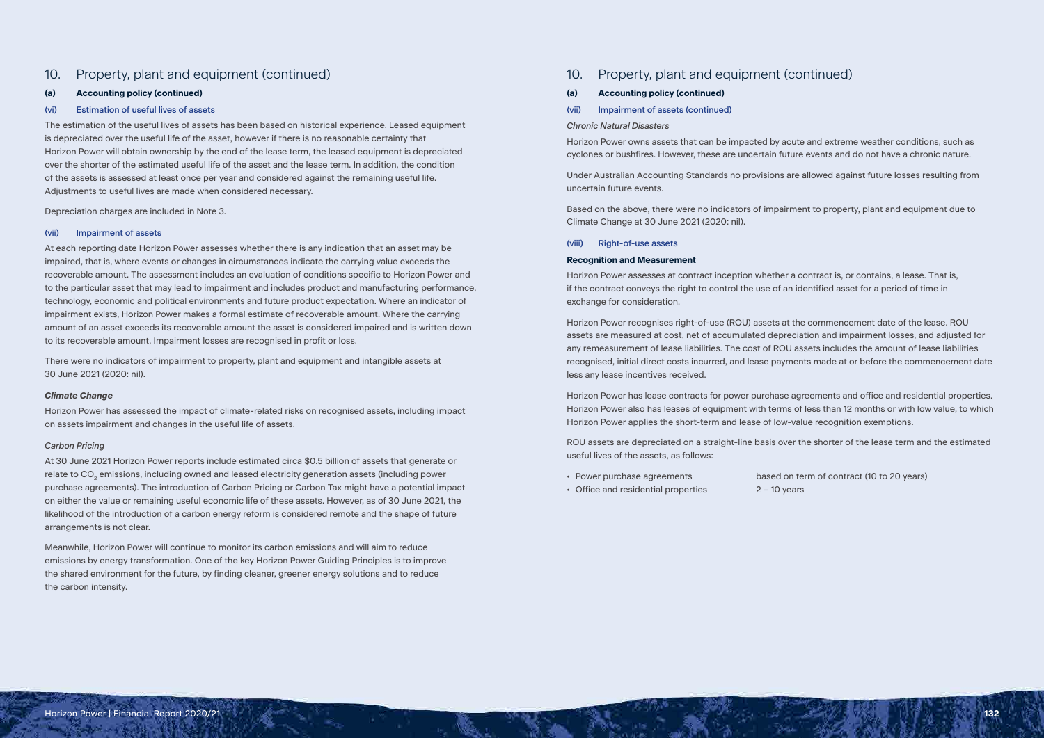# 10. Property, plant and equipment (continued)

# **(a) Accounting policy (continued)**

# (vi) Estimation of useful lives of assets

The estimation of the useful lives of assets has been based on historical experience. Leased equipment is depreciated over the useful life of the asset, however if there is no reasonable certainty that Horizon Power will obtain ownership by the end of the lease term, the leased equipment is depreciated over the shorter of the estimated useful life of the asset and the lease term. In addition, the condition of the assets is assessed at least once per year and considered against the remaining useful life. Adjustments to useful lives are made when considered necessary.

Depreciation charges are included in Note 3.

### (vii) Impairment of assets

At each reporting date Horizon Power assesses whether there is any indication that an asset may be impaired, that is, where events or changes in circumstances indicate the carrying value exceeds the recoverable amount. The assessment includes an evaluation of conditions specific to Horizon Power and to the particular asset that may lead to impairment and includes product and manufacturing performance, technology, economic and political environments and future product expectation. Where an indicator of impairment exists, Horizon Power makes a formal estimate of recoverable amount. Where the carrying amount of an asset exceeds its recoverable amount the asset is considered impaired and is written down to its recoverable amount. Impairment losses are recognised in profit or loss.

There were no indicators of impairment to property, plant and equipment and intangible assets at 30 June 2021 (2020: nil).

#### *Climate Change*

Horizon Power has assessed the impact of climate-related risks on recognised assets, including impact on assets impairment and changes in the useful life of assets.

### *Carbon Pricing*

At 30 June 2021 Horizon Power reports include estimated circa \$0.5 billion of assets that generate or relate to CO<sub>2</sub> emissions, including owned and leased electricity generation assets (including power purchase agreements). The introduction of Carbon Pricing or Carbon Tax might have a potential impact on either the value or remaining useful economic life of these assets. However, as of 30 June 2021, the likelihood of the introduction of a carbon energy reform is considered remote and the shape of future arrangements is not clear.

- Power purchase agreements based on term of contract (10 to 20 years)
- Office and residential properties 2 10 years

Meanwhile, Horizon Power will continue to monitor its carbon emissions and will aim to reduce emissions by energy transformation. One of the key Horizon Power Guiding Principles is to improve the shared environment for the future, by finding cleaner, greener energy solutions and to reduce the carbon intensity.

# 10. Property, plant and equipment (continued)

#### **(a) Accounting policy (continued)**

(vii) Impairment of assets (continued)

#### *Chronic Natural Disasters*

Horizon Power owns assets that can be impacted by acute and extreme weather conditions, such as cyclones or bushfires. However, these are uncertain future events and do not have a chronic nature.

Under Australian Accounting Standards no provisions are allowed against future losses resulting from uncertain future events.

Based on the above, there were no indicators of impairment to property, plant and equipment due to Climate Change at 30 June 2021 (2020: nil).

## (viii) Right-of-use assets

#### **Recognition and Measurement**

Horizon Power assesses at contract inception whether a contract is, or contains, a lease. That is, if the contract conveys the right to control the use of an identified asset for a period of time in exchange for consideration.

Horizon Power recognises right-of-use (ROU) assets at the commencement date of the lease. ROU assets are measured at cost, net of accumulated depreciation and impairment losses, and adjusted for any remeasurement of lease liabilities. The cost of ROU assets includes the amount of lease liabilities recognised, initial direct costs incurred, and lease payments made at or before the commencement date less any lease incentives received.

Horizon Power has lease contracts for power purchase agreements and office and residential properties. Horizon Power also has leases of equipment with terms of less than 12 months or with low value, to which Horizon Power applies the short-term and lease of low-value recognition exemptions.

ROU assets are depreciated on a straight-line basis over the shorter of the lease term and the estimated useful lives of the assets, as follows:

Horizon Power | Financial Report 2020/21 **132**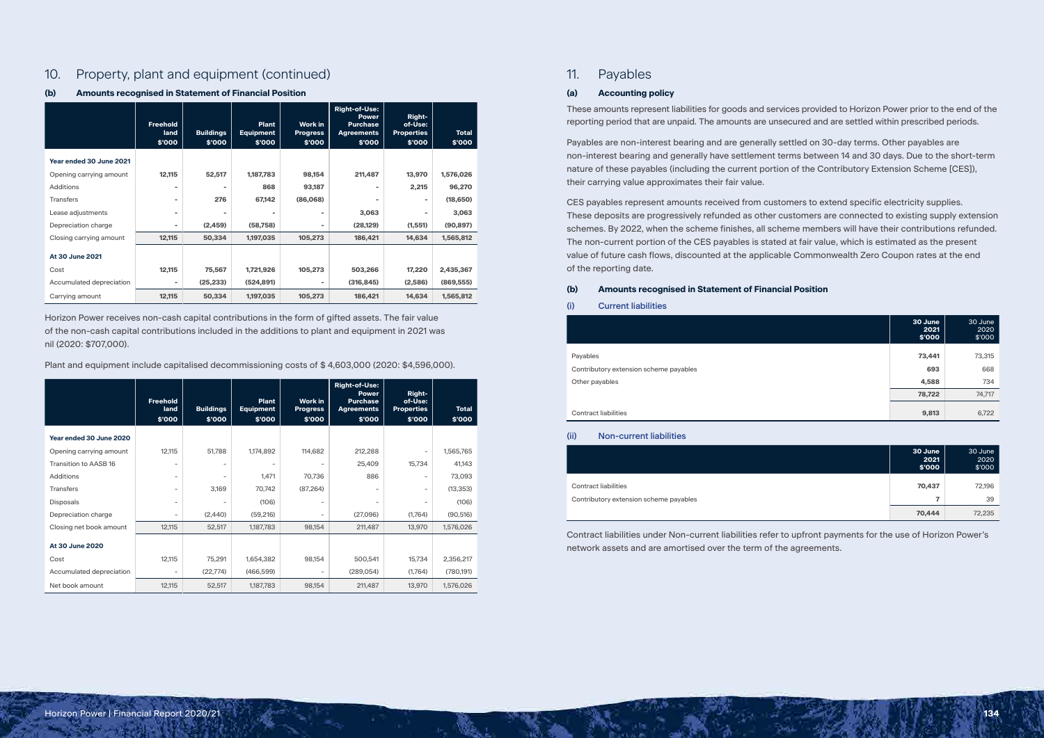# 10. Property, plant and equipment (continued)

# **(b) Amounts recognised in Statement of Financial Position**

|                          | <b>Freehold</b><br>land<br>\$'000 | <b>Buildings</b><br>\$'000 | <b>Plant</b><br><b>Equipment</b><br>\$'000 | Work in<br><b>Progress</b><br>\$'000 | <b>Right-of-Use:</b><br><b>Power</b><br><b>Purchase</b><br><b>Agreements</b><br>\$'000 | <b>Right-</b><br>of-Use:<br><b>Properties</b><br>\$'000 | <b>Total</b><br>\$'000 |
|--------------------------|-----------------------------------|----------------------------|--------------------------------------------|--------------------------------------|----------------------------------------------------------------------------------------|---------------------------------------------------------|------------------------|
| Year ended 30 June 2021  |                                   |                            |                                            |                                      |                                                                                        |                                                         |                        |
| Opening carrying amount  | 12,115                            | 52,517                     | 1,187,783                                  | 98,154                               | 211,487                                                                                | 13,970                                                  | 1,576,026              |
| <b>Additions</b>         | ٠                                 | $\overline{\phantom{a}}$   | 868                                        | 93,187                               | $\blacksquare$                                                                         | 2,215                                                   | 96,270                 |
| <b>Transfers</b>         | $\overline{\phantom{a}}$          | 276                        | 67,142                                     | (86,068)                             | $\blacksquare$                                                                         | $\sim$                                                  | (18,650)               |
| Lease adjustments        | ۰                                 | ۰                          |                                            | $\overline{\phantom{a}}$             | 3,063                                                                                  |                                                         | 3,063                  |
| Depreciation charge      |                                   | (2, 459)                   | (58, 758)                                  | ٠                                    | (28, 129)                                                                              | (1, 551)                                                | (90, 897)              |
| Closing carrying amount  | 12,115                            | 50,334                     | 1,197,035                                  | 105,273                              | 186,421                                                                                | 14,634                                                  | 1,565,812              |
| At 30 June 2021          |                                   |                            |                                            |                                      |                                                                                        |                                                         |                        |
| Cost                     | 12,115                            | 75,567                     | 1,721,926                                  | 105,273                              | 503,266                                                                                | 17,220                                                  | 2,435,367              |
| Accumulated depreciation | ٠                                 | (25, 233)                  | (524, 891)                                 | ٠                                    | (316, 845)                                                                             | (2,586)                                                 | (869, 555)             |
| Carrying amount          | 12,115                            | 50,334                     | 1,197,035                                  | 105,273                              | 186,421                                                                                | 14,634                                                  | 1,565,812              |

Horizon Power receives non-cash capital contributions in the form of gifted assets. The fair value of the non-cash capital contributions included in the additions to plant and equipment in 2021 was nil (2020: \$707,000).

Plant and equipment include capitalised decommissioning costs of \$ 4,603,000 (2020: \$4,596,000).

|                              | <b>Freehold</b><br>land<br>\$'000 | <b>Buildings</b><br>\$'000 | <b>Plant</b><br><b>Equipment</b><br>\$'000 | <b>Work in</b><br><b>Progress</b><br>\$'000 | <b>Right-of-Use:</b><br><b>Power</b><br><b>Purchase</b><br><b>Agreements</b><br>\$'000 | Right-<br>of-Use:<br><b>Properties</b><br>\$'000 | <b>Total</b><br>\$'000 |
|------------------------------|-----------------------------------|----------------------------|--------------------------------------------|---------------------------------------------|----------------------------------------------------------------------------------------|--------------------------------------------------|------------------------|
| Year ended 30 June 2020      |                                   |                            |                                            |                                             |                                                                                        |                                                  |                        |
| Opening carrying amount      | 12,115                            | 51,788                     | 1,174,892                                  | 114,682                                     | 212,288                                                                                |                                                  | 1,565,765              |
| <b>Transition to AASB 16</b> | -                                 | $\overline{\phantom{a}}$   | $\overline{\phantom{a}}$                   | $\overline{\phantom{a}}$                    | 25,409                                                                                 | 15,734                                           | 41,143                 |
| Additions                    | -                                 | $\overline{\phantom{a}}$   | 1,471                                      | 70,736                                      | 886                                                                                    | $\overline{\phantom{0}}$                         | 73,093                 |
| <b>Transfers</b>             | -                                 | 3,169                      | 70,742                                     | (87, 264)                                   | $\overline{\phantom{a}}$                                                               | $\overline{\phantom{a}}$                         | (13, 353)              |
| <b>Disposals</b>             | -                                 | $\overline{\phantom{a}}$   | (106)                                      | $\overline{\phantom{a}}$                    | $\overline{\phantom{a}}$                                                               |                                                  | (106)                  |
| Depreciation charge          | $\qquad \qquad -$                 | (2,440)                    | (59, 216)                                  | $\overline{\phantom{a}}$                    | (27,096)                                                                               | (1,764)                                          | (90, 516)              |
| Closing net book amount      | 12,115                            | 52,517                     | 1,187,783                                  | 98,154                                      | 211,487                                                                                | 13,970                                           | 1,576,026              |
| At 30 June 2020              |                                   |                            |                                            |                                             |                                                                                        |                                                  |                        |
| Cost                         | 12,115                            | 75,291                     | 1,654,382                                  | 98,154                                      | 500,541                                                                                | 15,734                                           | 2,356,217              |
| Accumulated depreciation     | $\overline{\phantom{a}}$          | (22, 774)                  | (466,599)                                  | $\overline{\phantom{a}}$                    | (289,054)                                                                              | (1,764)                                          | (780,191)              |
| Net book amount              | 12,115                            | 52,517                     | 1,187,783                                  | 98,154                                      | 211,487                                                                                | 13,970                                           | 1,576,026              |

# 11. Payables

# **(a) Accounting policy**

These amounts represent liabilities for goods and services provided to Horizon Power prior to the end of the reporting period that are unpaid. The amounts are unsecured and are settled within prescribed periods.

Payables are non-interest bearing and are generally settled on 30-day terms. Other payables are non-interest bearing and generally have settlement terms between 14 and 30 days. Due to the short-term nature of these payables (including the current portion of the Contributory Extension Scheme [CES]), their carrying value approximates their fair value.

CES payables represent amounts received from customers to extend specific electricity supplies. These deposits are progressively refunded as other customers are connected to existing supply extension schemes. By 2022, when the scheme finishes, all scheme members will have their contributions refunded. The non-current portion of the CES payables is stated at fair value, which is estimated as the present value of future cash flows, discounted at the applicable Commonwealth Zero Coupon rates at the end of the reporting date.

# **(b) Amounts recognised in Statement of Financial Position**

# (i) Current liabilities

#### **Contract liabilities**

|                                        | 30 June<br>2021<br>\$'000 | 30 June<br>2020<br>\$'000 |
|----------------------------------------|---------------------------|---------------------------|
| Payables                               | 73,441                    | 73,315                    |
| Contributory extension scheme payables | 693                       | 668                       |
| Other payables                         | 4,588                     | 734                       |
|                                        | 78,722                    | 74,717                    |
| <b>Contract liabilities</b>            | 9,813                     | 6,722                     |

(ii) Non-current liabilities

**Contract liabilities** 

Contributory extension scheme payables

| 30 June<br>2021<br>\$'000 | 30 June<br>2020<br>\$'000 |
|---------------------------|---------------------------|
| 70,437                    | 72,196                    |
| 7                         | 39                        |
| 70,444                    | 72,235                    |

Contract liabilities under Non-current liabilities refer to upfront payments for the use of Horizon Power's network assets and are amortised over the term of the agreements.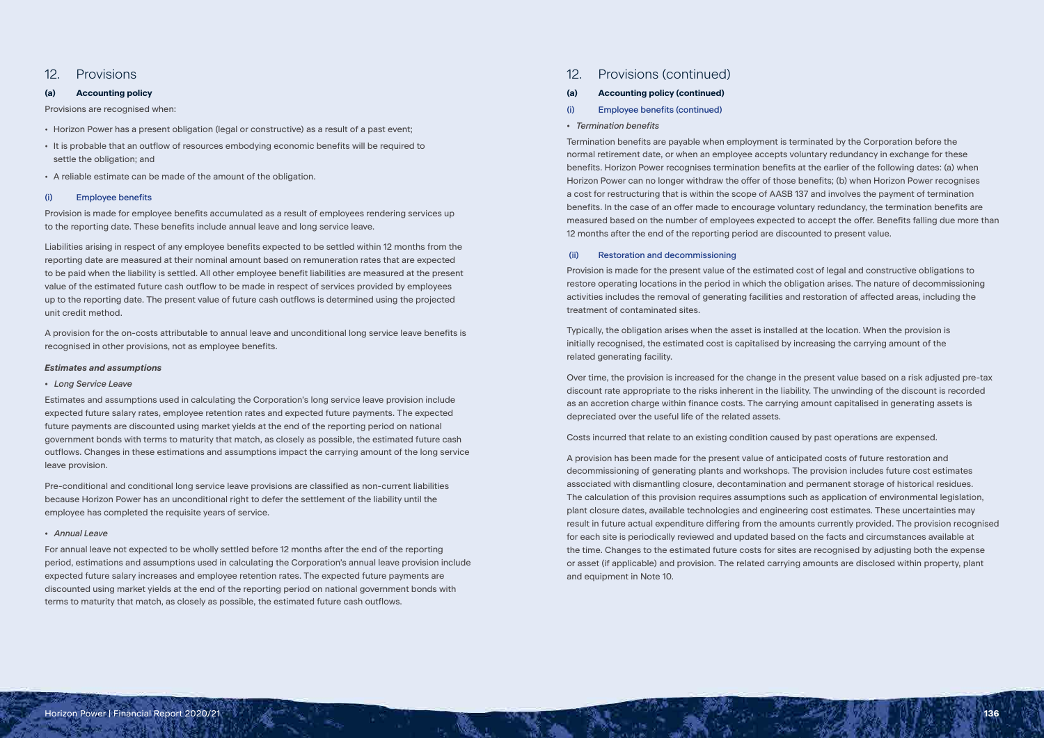# 12. Provisions

# **(a) Accounting policy**

Provisions are recognised when:

- Horizon Power has a present obligation (legal or constructive) as a result of a past event;
- It is probable that an outflow of resources embodying economic benefits will be required to settle the obligation; and
- A reliable estimate can be made of the amount of the obligation.

# (i) Employee benefits

Provision is made for employee benefits accumulated as a result of employees rendering services up to the reporting date. These benefits include annual leave and long service leave.

Liabilities arising in respect of any employee benefits expected to be settled within 12 months from the reporting date are measured at their nominal amount based on remuneration rates that are expected to be paid when the liability is settled. All other employee benefit liabilities are measured at the present value of the estimated future cash outflow to be made in respect of services provided by employees up to the reporting date. The present value of future cash outflows is determined using the projected unit credit method.

A provision for the on-costs attributable to annual leave and unconditional long service leave benefits is recognised in other provisions, not as employee benefits.

# *Estimates and assumptions*

# *• Long Service Leave*

Estimates and assumptions used in calculating the Corporation's long service leave provision include expected future salary rates, employee retention rates and expected future payments. The expected future payments are discounted using market yields at the end of the reporting period on national government bonds with terms to maturity that match, as closely as possible, the estimated future cash outflows. Changes in these estimations and assumptions impact the carrying amount of the long service leave provision.

Pre-conditional and conditional long service leave provisions are classified as non-current liabilities because Horizon Power has an unconditional right to defer the settlement of the liability until the employee has completed the requisite years of service.

### *• Annual Leave*

For annual leave not expected to be wholly settled before 12 months after the end of the reporting period, estimations and assumptions used in calculating the Corporation's annual leave provision include expected future salary increases and employee retention rates. The expected future payments are discounted using market yields at the end of the reporting period on national government bonds with terms to maturity that match, as closely as possible, the estimated future cash outflows.

# 12. Provisions (continued)

# **(a) Accounting policy (continued)**

- (i) Employee benefits (continued)
- *Termination benefits*

Termination benefits are payable when employment is terminated by the Corporation before the normal retirement date, or when an employee accepts voluntary redundancy in exchange for these benefits. Horizon Power recognises termination benefits at the earlier of the following dates: (a) when Horizon Power can no longer withdraw the offer of those benefits; (b) when Horizon Power recognises a cost for restructuring that is within the scope of AASB 137 and involves the payment of termination benefits. In the case of an offer made to encourage voluntary redundancy, the termination benefits are measured based on the number of employees expected to accept the offer. Benefits falling due more than 12 months after the end of the reporting period are discounted to present value.

# (ii) Restoration and decommissioning

Provision is made for the present value of the estimated cost of legal and constructive obligations to restore operating locations in the period in which the obligation arises. The nature of decommissioning activities includes the removal of generating facilities and restoration of affected areas, including the treatment of contaminated sites.

Typically, the obligation arises when the asset is installed at the location. When the provision is initially recognised, the estimated cost is capitalised by increasing the carrying amount of the related generating facility.

Over time, the provision is increased for the change in the present value based on a risk adjusted pre-tax discount rate appropriate to the risks inherent in the liability. The unwinding of the discount is recorded as an accretion charge within finance costs. The carrying amount capitalised in generating assets is depreciated over the useful life of the related assets.

Costs incurred that relate to an existing condition caused by past operations are expensed.

A provision has been made for the present value of anticipated costs of future restoration and decommissioning of generating plants and workshops. The provision includes future cost estimates associated with dismantling closure, decontamination and permanent storage of historical residues. The calculation of this provision requires assumptions such as application of environmental legislation, plant closure dates, available technologies and engineering cost estimates. These uncertainties may result in future actual expenditure differing from the amounts currently provided. The provision recognised for each site is periodically reviewed and updated based on the facts and circumstances available at the time. Changes to the estimated future costs for sites are recognised by adjusting both the expense or asset (if applicable) and provision. The related carrying amounts are disclosed within property, plant and equipment in Note 10.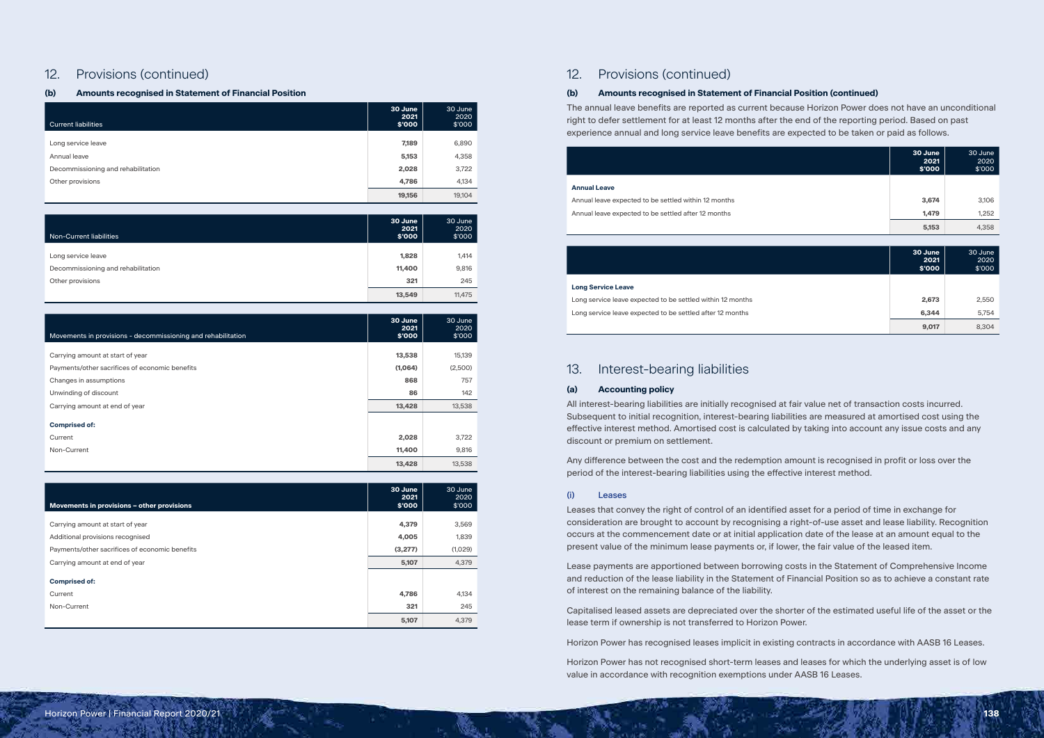# 12. Provisions (continued)

# **(b) Amounts recognised in Statement of Financial Position**

| <b>Current liabilities</b>         | 30 June<br>2021<br>\$'000 | 30 June<br>2020<br>\$'000 |
|------------------------------------|---------------------------|---------------------------|
|                                    |                           |                           |
| Long service leave                 | 7,189                     | 6,890                     |
| Annual leave                       | 5,153                     | 4,358                     |
| Decommissioning and rehabilitation | 2,028                     | 3,722                     |
| Other provisions                   | 4,786                     | 4,134                     |
|                                    | 19,156                    | 19,104                    |

| Non-Current liabilities            | 30 June<br>2021<br>\$'000 | 30 June<br>2020<br>\$'000 |
|------------------------------------|---------------------------|---------------------------|
|                                    |                           |                           |
| Long service leave                 | 1,828                     | 1,414                     |
| Decommissioning and rehabilitation | 11,400                    | 9,816                     |
| Other provisions                   | 321                       | 245                       |
|                                    | 13,549                    | 11,475                    |

| Movements in provisions - decommissioning and rehabilitation | 30 June<br>2021<br>\$'000 | 30 June<br>2020<br>\$'000 |
|--------------------------------------------------------------|---------------------------|---------------------------|
| Carrying amount at start of year                             | 13,538                    | 15,139                    |
|                                                              | (1,064)                   | (2,500)                   |
| Payments/other sacrifices of economic benefits               |                           |                           |
| Changes in assumptions                                       | 868                       | 757                       |
| Unwinding of discount                                        | 86                        | 142                       |
| Carrying amount at end of year                               | 13,428                    | 13,538                    |
| <b>Comprised of:</b>                                         |                           |                           |
| Current                                                      | 2,028                     | 3,722                     |
| Non-Current                                                  | 11,400                    | 9,816                     |
|                                                              | 13,428                    | 13,538                    |

| Movements in provisions - other provisions     | 30 June<br>2021<br>\$'000 | 30 June<br>2020<br>\$'000 |
|------------------------------------------------|---------------------------|---------------------------|
| Carrying amount at start of year               | 4,379                     | 3,569                     |
| Additional provisions recognised               | 4,005                     | 1,839                     |
| Payments/other sacrifices of economic benefits | (3,277)                   | (1,029)                   |
| Carrying amount at end of year                 | 5,107                     | 4,379                     |
| <b>Comprised of:</b>                           |                           |                           |
| Current<br>Non-Current                         | 4,786<br>321              | 4,134<br>245              |
|                                                | 5,107                     | 4,379                     |

# 12. Provisions (continued)

# **(b) Amounts recognised in Statement of Financial Position (continued)**

The annual leave benefits are reported as current because Horizon Power does not have an unconditional right to defer settlement for at least 12 months after the end of the reporting period. Based on past experience annual and long service leave benefits are expected to be taken or paid as follows.

#### **Annual Leave**

Annual leave expected to be settled within 12 months Annual leave expected to be settled after 12 months

| 30 June<br>2021<br>\$'000 | 30 June<br>2020<br>\$'000 |
|---------------------------|---------------------------|
|                           |                           |
| 3,674                     | 3,106                     |
| 1,479                     | 1,252                     |
| 5,153                     | 4,358                     |

#### **Long Service Leave**

Long service leave expected to be settled within 12 months Long service leave expected to be settled after 12 months

| 30 June<br>2021<br>\$'000 | 30 June<br>2020<br>\$'000 |
|---------------------------|---------------------------|
|                           |                           |
| 2,673                     | 2,550                     |
| 6,344                     | 5,754                     |
| 9,017                     | 8,304                     |

# 13. Interest-bearing liabilities

# **(a) Accounting policy**

All interest-bearing liabilities are initially recognised at fair value net of transaction costs incurred. Subsequent to initial recognition, interest-bearing liabilities are measured at amortised cost using the effective interest method. Amortised cost is calculated by taking into account any issue costs and any discount or premium on settlement.

Any difference between the cost and the redemption amount is recognised in profit or loss over the period of the interest-bearing liabilities using the effective interest method.

### (i) Leases

Leases that convey the right of control of an identified asset for a period of time in exchange for consideration are brought to account by recognising a right-of-use asset and lease liability. Recognition occurs at the commencement date or at initial application date of the lease at an amount equal to the present value of the minimum lease payments or, if lower, the fair value of the leased item.

Lease payments are apportioned between borrowing costs in the Statement of Comprehensive Income and reduction of the lease liability in the Statement of Financial Position so as to achieve a constant rate of interest on the remaining balance of the liability.

Capitalised leased assets are depreciated over the shorter of the estimated useful life of the asset or the lease term if ownership is not transferred to Horizon Power.

Horizon Power has recognised leases implicit in existing contracts in accordance with AASB 16 Leases.

Horizon Power has not recognised short-term leases and leases for which the underlying asset is of low value in accordance with recognition exemptions under AASB 16 Leases.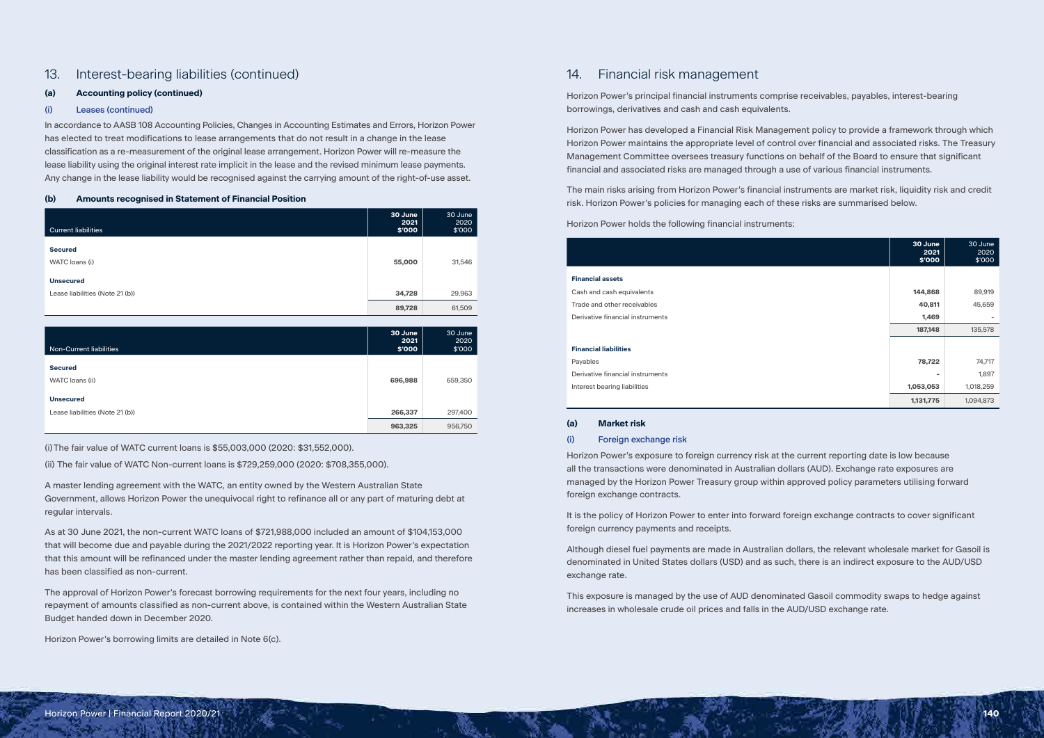# 13. Interest-bearing liabilities (continued)

# **(a) Accounting policy (continued)**

# (i) Leases (continued)

In accordance to AASB 108 Accounting Policies, Changes in Accounting Estimates and Errors, Horizon Power has elected to treat modifications to lease arrangements that do not result in a change in the lease classification as a re-measurement of the original lease arrangement. Horizon Power will re-measure the lease liability using the original interest rate implicit in the lease and the revised minimum lease payments. Any change in the lease liability would be recognised against the carrying amount of the right-of-use asset.

# **(b) Amounts recognised in Statement of Financial Position**

| <b>Current liabilities</b>       | 30 June<br>2021<br>\$'000 | 30 June<br>2020<br>\$'000 |
|----------------------------------|---------------------------|---------------------------|
| <b>Secured</b><br>WATC loans (i) | 55,000                    | 31,546                    |
| <b>Unsecured</b>                 |                           |                           |
| Lease liabilities (Note 21 (b))  | 34,728<br>89,728          | 29,963<br>61,509          |

| Non-Current liabilities                             | 30 June<br>2021<br>\$'000 | 30 June<br>2020<br>\$'000 |
|-----------------------------------------------------|---------------------------|---------------------------|
| <b>Secured</b><br>WATC loans (ii)                   | 696,988                   | 659,350                   |
| <b>Unsecured</b><br>Lease liabilities (Note 21 (b)) | 266,337                   | 297,400                   |
|                                                     | 963,325                   | 956,750                   |

(i)The fair value of WATC current loans is \$55,003,000 (2020: \$31,552,000).

(ii) The fair value of WATC Non-current loans is \$729,259,000 (2020: \$708,355,000).

A master lending agreement with the WATC, an entity owned by the Western Australian State Government, allows Horizon Power the unequivocal right to refinance all or any part of maturing debt at regular intervals.

As at 30 June 2021, the non-current WATC loans of \$721,988,000 included an amount of \$104,153,000 that will become due and payable during the 2021/2022 reporting year. It is Horizon Power's expectation that this amount will be refinanced under the master lending agreement rather than repaid, and therefore has been classified as non-current.

The approval of Horizon Power's forecast borrowing requirements for the next four years, including no repayment of amounts classified as non-current above, is contained within the Western Australian State Budget handed down in December 2020.

Horizon Power's borrowing limits are detailed in Note 6(c).

# 14. Financial risk management

Horizon Power's principal financial instruments comprise receivables, payables, interest-bearing borrowings, derivatives and cash and cash equivalents.

Horizon Power has developed a Financial Risk Management policy to provide a framework through which Horizon Power maintains the appropriate level of control over financial and associated risks. The Treasury Management Committee oversees treasury functions on behalf of the Board to ensure that significant financial and associated risks are managed through a use of various financial instruments.

The main risks arising from Horizon Power's financial instruments are market risk, liquidity risk and credit risk. Horizon Power's policies for managing each of these risks are summarised below.

Horizon Power holds the following financial instruments:

#### **Financial assets**

|                                  | 30 June<br>2021<br>\$'000 | 30 June<br>2020<br>\$'000 |
|----------------------------------|---------------------------|---------------------------|
| <b>Financial assets</b>          |                           |                           |
|                                  |                           |                           |
| Cash and cash equivalents        | 144,868                   | 89,919                    |
| Trade and other receivables      | 40,811                    | 45,659                    |
| Derivative financial instruments | 1,469                     |                           |
|                                  | 187,148                   | 135,578                   |
|                                  |                           |                           |
| <b>Financial liabilities</b>     |                           |                           |
| Payables                         | 78,722                    | 74,717                    |
| Derivative financial instruments | ۰                         | 1,897                     |
| Interest bearing liabilities     | 1,053,053                 | 1,018,259                 |
|                                  | 1,131,775                 | 1,094,873                 |

#### **Financial liabilities**

## **(a) Market risk**

# (i) Foreign exchange risk

Horizon Power's exposure to foreign currency risk at the current reporting date is low because all the transactions were denominated in Australian dollars (AUD). Exchange rate exposures are managed by the Horizon Power Treasury group within approved policy parameters utilising forward foreign exchange contracts.

It is the policy of Horizon Power to enter into forward foreign exchange contracts to cover significant foreign currency payments and receipts.

Although diesel fuel payments are made in Australian dollars, the relevant wholesale market for Gasoil is denominated in United States dollars (USD) and as such, there is an indirect exposure to the AUD/USD exchange rate.

This exposure is managed by the use of AUD denominated Gasoil commodity swaps to hedge against increases in wholesale crude oil prices and falls in the AUD/USD exchange rate.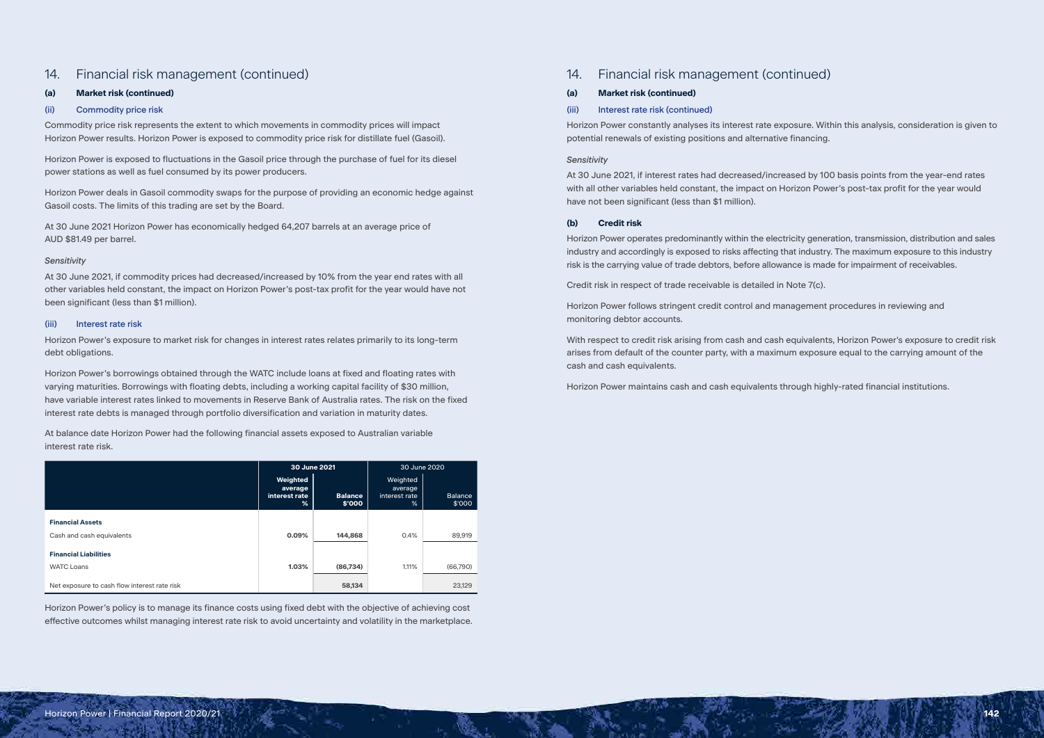# 14. Financial risk management (continued)

# **(a) Market risk (continued)**

# (ii) Commodity price risk

Commodity price risk represents the extent to which movements in commodity prices will impact Horizon Power results. Horizon Power is exposed to commodity price risk for distillate fuel (Gasoil).

Horizon Power is exposed to fluctuations in the Gasoil price through the purchase of fuel for its diesel power stations as well as fuel consumed by its power producers.

Horizon Power deals in Gasoil commodity swaps for the purpose of providing an economic hedge against Gasoil costs. The limits of this trading are set by the Board.

At 30 June 2021 Horizon Power has economically hedged 64,207 barrels at an average price of AUD \$81.49 per barrel.

# *Sensitivity*

At 30 June 2021, if commodity prices had decreased/increased by 10% from the year end rates with all other variables held constant, the impact on Horizon Power's post-tax profit for the year would have not been significant (less than \$1 million).

# (iii) Interest rate risk

Horizon Power's exposure to market risk for changes in interest rates relates primarily to its long-term debt obligations.

Horizon Power's borrowings obtained through the WATC include loans at fixed and floating rates with varying maturities. Borrowings with floating debts, including a working capital facility of \$30 million, have variable interest rates linked to movements in Reserve Bank of Australia rates. The risk on the fixed interest rate debts is managed through portfolio diversification and variation in maturity dates.

At balance date Horizon Power had the following financial assets exposed to Australian variable interest rate risk.

|                                              | 30 June 2021                              |                          | 30 June 2020                              |                          |
|----------------------------------------------|-------------------------------------------|--------------------------|-------------------------------------------|--------------------------|
|                                              | Weighted<br>average<br>interest rate<br>% | <b>Balance</b><br>\$'000 | Weighted<br>average<br>interest rate<br>% | <b>Balance</b><br>\$'000 |
| <b>Financial Assets</b>                      |                                           |                          |                                           |                          |
| Cash and cash equivalents                    | 0.09%                                     | 144,868                  | 0.4%                                      | 89,919                   |
| <b>Financial Liabilities</b>                 |                                           |                          |                                           |                          |
| <b>WATC Loans</b>                            | 1.03%                                     | (86, 734)                | 1.11%                                     | (66,790)                 |
| Net exposure to cash flow interest rate risk |                                           | 58,134                   |                                           | 23,129                   |

Horizon Power's policy is to manage its finance costs using fixed debt with the objective of achieving cost effective outcomes whilst managing interest rate risk to avoid uncertainty and volatility in the marketplace.

# 14. Financial risk management (continued)

# **(a) Market risk (continued)**

# (iii) Interest rate risk (continued)

Horizon Power constantly analyses its interest rate exposure. Within this analysis, consideration is given to potential renewals of existing positions and alternative financing.

# *Sensitivity*

At 30 June 2021, if interest rates had decreased/increased by 100 basis points from the year-end rates with all other variables held constant, the impact on Horizon Power's post-tax profit for the year would have not been significant (less than \$1 million).

# **(b) Credit risk**

Horizon Power operates predominantly within the electricity generation, transmission, distribution and sales industry and accordingly is exposed to risks affecting that industry. The maximum exposure to this industry risk is the carrying value of trade debtors, before allowance is made for impairment of receivables.

Credit risk in respect of trade receivable is detailed in Note 7(c).

Horizon Power follows stringent credit control and management procedures in reviewing and monitoring debtor accounts.

With respect to credit risk arising from cash and cash equivalents, Horizon Power's exposure to credit risk arises from default of the counter party, with a maximum exposure equal to the carrying amount of the cash and cash equivalents.

Horizon Power maintains cash and cash equivalents through highly-rated financial institutions.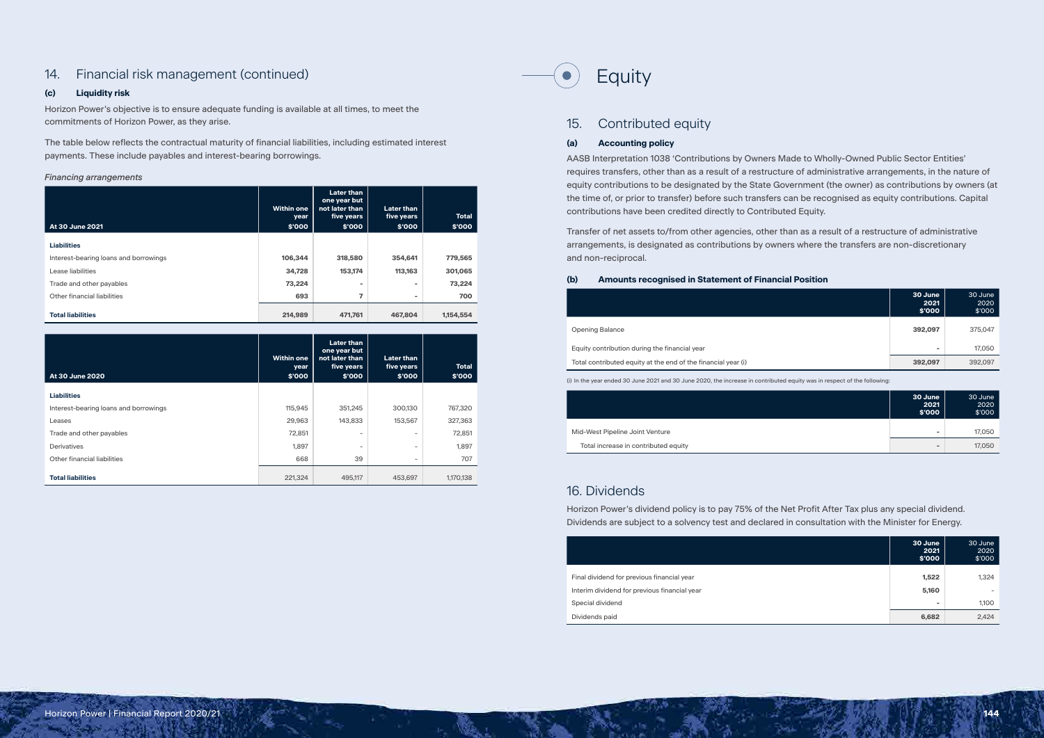# 14. Financial risk management (continued)

# **(c) Liquidity risk**

Horizon Power's objective is to ensure adequate funding is available at all times, to meet the commitments of Horizon Power, as they arise.

The table below reflects the contractual maturity of financial liabilities, including estimated interest payments. These include payables and interest-bearing borrowings.

# *Financing arrangements*

| At 30 June 2021                       | <b>Within one</b><br>year<br>\$'000 | <b>Later than</b><br>one year but<br>not later than<br>five years<br>\$'000 | <b>Later than</b><br>five years<br>\$'000 | <b>Total</b><br>\$'000 |
|---------------------------------------|-------------------------------------|-----------------------------------------------------------------------------|-------------------------------------------|------------------------|
| <b>Liabilities</b>                    |                                     |                                                                             |                                           |                        |
| Interest-bearing loans and borrowings | 106,344                             | 318,580                                                                     | 354,641                                   | 779,565                |
| Lease liabilities                     | 34,728                              | 153,174                                                                     | 113,163                                   | 301,065                |
| Trade and other payables              | 73,224                              | ۰                                                                           | $\overline{\phantom{a}}$                  | 73,224                 |
| Other financial liabilities           | 693                                 | 7                                                                           | $\overline{\phantom{a}}$                  | 700                    |
| <b>Total liabilities</b>              | 214,989                             | 471,761                                                                     | 467.804                                   | 1,154,554              |

| At 30 June 2020                       | <b>Within one</b><br>year<br>\$'000 | <b>Later than</b><br>one year but<br>not later than<br>five years<br>\$'000 | <b>Later than</b><br>five years<br>\$'000 | <b>Total</b><br>\$'000 |
|---------------------------------------|-------------------------------------|-----------------------------------------------------------------------------|-------------------------------------------|------------------------|
| <b>Liabilities</b>                    |                                     |                                                                             |                                           |                        |
| Interest-bearing loans and borrowings | 115,945                             | 351,245                                                                     | 300,130                                   | 767,320                |
| Leases                                | 29,963                              | 143,833                                                                     | 153,567                                   | 327,363                |
| Trade and other payables              | 72,851                              | $\overline{\phantom{a}}$                                                    | ۰                                         | 72,851                 |
| <b>Derivatives</b>                    | 1,897                               | $\overline{\phantom{a}}$                                                    | $\overline{\phantom{0}}$                  | 1,897                  |
| Other financial liabilities           | 668                                 | 39                                                                          | -                                         | 707                    |
| <b>Total liabilities</b>              | 221,324                             | 495,117                                                                     | 453,697                                   | 1,170,138              |



# 15. Contributed equity

# **(a) Accounting policy**

AASB Interpretation 1038 'Contributions by Owners Made to Wholly-Owned Public Sector Entities' requires transfers, other than as a result of a restructure of administrative arrangements, in the nature of equity contributions to be designated by the State Government (the owner) as contributions by owners (at the time of, or prior to transfer) before such transfers can be recognised as equity contributions. Capital contributions have been credited directly to Contributed Equity.

Transfer of net assets to/from other agencies, other than as a result of a restructure of administrative arrangements, is designated as contributions by owners where the transfers are non-discretionary and non-reciprocal.

#### **(b) Amounts recognised in Statement of Financial Position**

**Opening Balance** 

Equity contribution during the financial year

Total contributed equity at the end of the financial year (i)

| 30 June<br>2021<br>\$'000 | 30 June<br>2020<br>\$'000 |
|---------------------------|---------------------------|
| 392,097                   | 375,047                   |
| $\blacksquare$            | 17,050                    |
| 392,097                   | 392,097                   |

(i) In the year ended 30 June 2021 and 30 June 2020, the increase in contributed equity was in respect of the following:

**Mid-West Pipeline Joint Venture** 

Total increase in contributed equity

| 30 June<br>2021<br>\$'000 | 30 June<br>2020<br>\$'000 |
|---------------------------|---------------------------|
| $\blacksquare$            | 17,050                    |
| $\overline{a}$            | 17,050                    |

# 16. Dividends

Horizon Power's dividend policy is to pay 75% of the Net Profit After Tax plus any special dividend. Dividends are subject to a solvency test and declared in consultation with the Minister for Energy.

Final dividend for previous financial year Interim dividend for previous financial year **Special dividend** 

| 30 June<br>2021<br>\$'000 | 30 June<br>2020<br>\$'000 |
|---------------------------|---------------------------|
| 1,522                     | 1,324                     |
| 5,160                     | -                         |
| $\overline{\phantom{a}}$  | 1,100                     |
| 6,682                     | 2,424                     |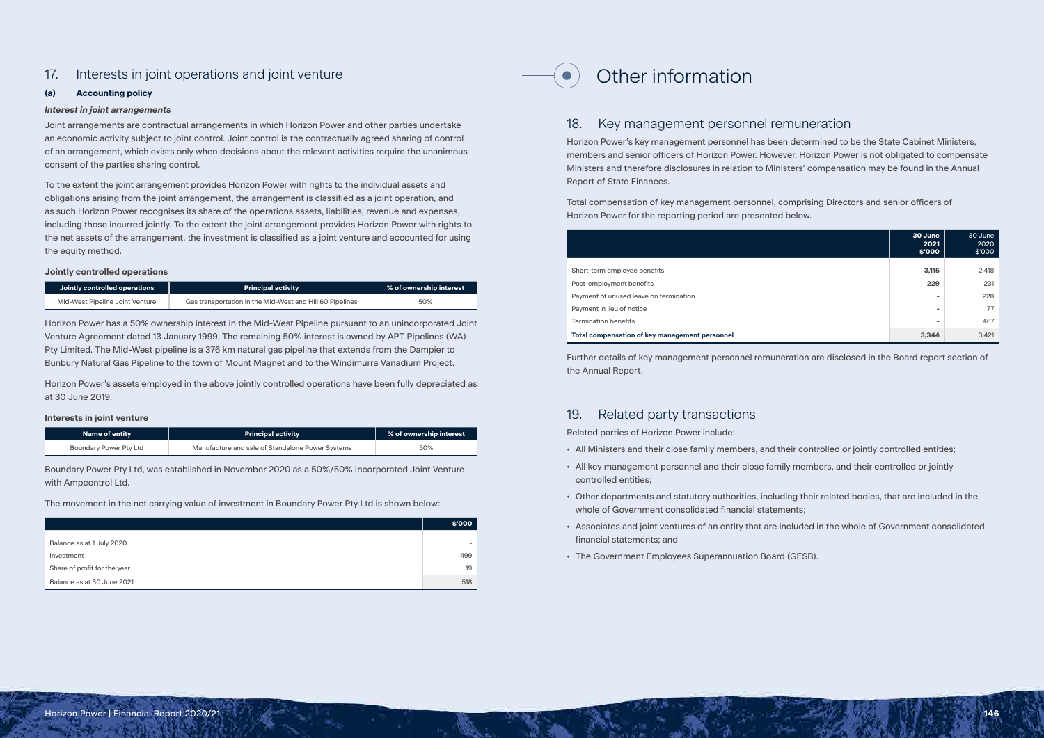# 17. Interests in joint operations and joint venture

# **(a) Accounting policy**

# *Interest in joint arrangements*

Joint arrangements are contractual arrangements in which Horizon Power and other parties undertake an economic activity subject to joint control. Joint control is the contractually agreed sharing of control of an arrangement, which exists only when decisions about the relevant activities require the unanimous consent of the parties sharing control.

To the extent the joint arrangement provides Horizon Power with rights to the individual assets and obligations arising from the joint arrangement, the arrangement is classified as a joint operation, and as such Horizon Power recognises its share of the operations assets, liabilities, revenue and expenses, including those incurred jointly. To the extent the joint arrangement provides Horizon Power with rights to the net assets of the arrangement, the investment is classified as a joint venture and accounted for using the equity method.

# **Jointly controlled operations**

| Jointly controlled operations   | <b>Principal activity</b>                                | % of ownership interest |
|---------------------------------|----------------------------------------------------------|-------------------------|
| Mid-West Pipeline Joint Venture | Gas transportation in the Mid-West and Hill 60 Pipelines | 50%                     |

Horizon Power has a 50% ownership interest in the Mid-West Pipeline pursuant to an unincorporated Joint Venture Agreement dated 13 January 1999. The remaining 50% interest is owned by APT Pipelines (WA) Pty Limited. The Mid-West pipeline is a 376 km natural gas pipeline that extends from the Dampier to Bunbury Natural Gas Pipeline to the town of Mount Magnet and to the Windimurra Vanadium Project.

Short-term employee benefits Post-employment benefits Payment of unused leave on termination Payment in lieu of notice **Termination benefits Total compensation of key management personnel 3,344** 3,421

Horizon Power's assets employed in the above jointly controlled operations have been fully depreciated as at 30 June 2019.

# **Interests in joint venture**

| <b>Name of entity</b>  | <b>Principal activity</b>                        | % of ownership interest |
|------------------------|--------------------------------------------------|-------------------------|
| Boundary Power Pty Ltd | Manufacture and sale of Standalone Power Systems | 50%                     |

Boundary Power Pty Ltd, was established in November 2020 as a 50%/50% Incorporated Joint Venture with Ampcontrol Ltd.

The movement in the net carrying value of investment in Boundary Power Pty Ltd is shown below:

|                              | \$'000 |
|------------------------------|--------|
|                              |        |
| Balance as at 1 July 2020    |        |
| Investment                   | 499    |
| Share of profit for the year | 19     |
| Balance as at 30 June 2021   | 518    |

# Other information

# 18. Key management personnel remuneration

Horizon Power's key management personnel has been determined to be the State Cabinet Ministers, members and senior officers of Horizon Power. However, Horizon Power is not obligated to compensate Ministers and therefore disclosures in relation to Ministers' compensation may be found in the Annual Report of State Finances.

Total compensation of key management personnel, comprising Directors and senior officers of Horizon Power for the reporting period are presented below.

| 30 June<br>2021<br>\$'000 | 30 June<br>2020<br>\$'000 |
|---------------------------|---------------------------|
| 3,115                     | 2,418                     |
| 229                       | 231                       |
| -                         | 228                       |
| $\overline{\phantom{a}}$  | 77                        |
| $\overline{\phantom{a}}$  | 467                       |
| 3,344                     | 3,421                     |

Further details of key management personnel remuneration are disclosed in the Board report section of the Annual Report.

# 19. Related party transactions

Related parties of Horizon Power include:

- All Ministers and their close family members, and their controlled or jointly controlled entities;
- All key management personnel and their close family members, and their controlled or jointly controlled entities;
- Other departments and statutory authorities, including their related bodies, that are included in the whole of Government consolidated financial statements;
- Associates and joint ventures of an entity that are included in the whole of Government consolidated financial statements; and
- The Government Employees Superannuation Board (GESB).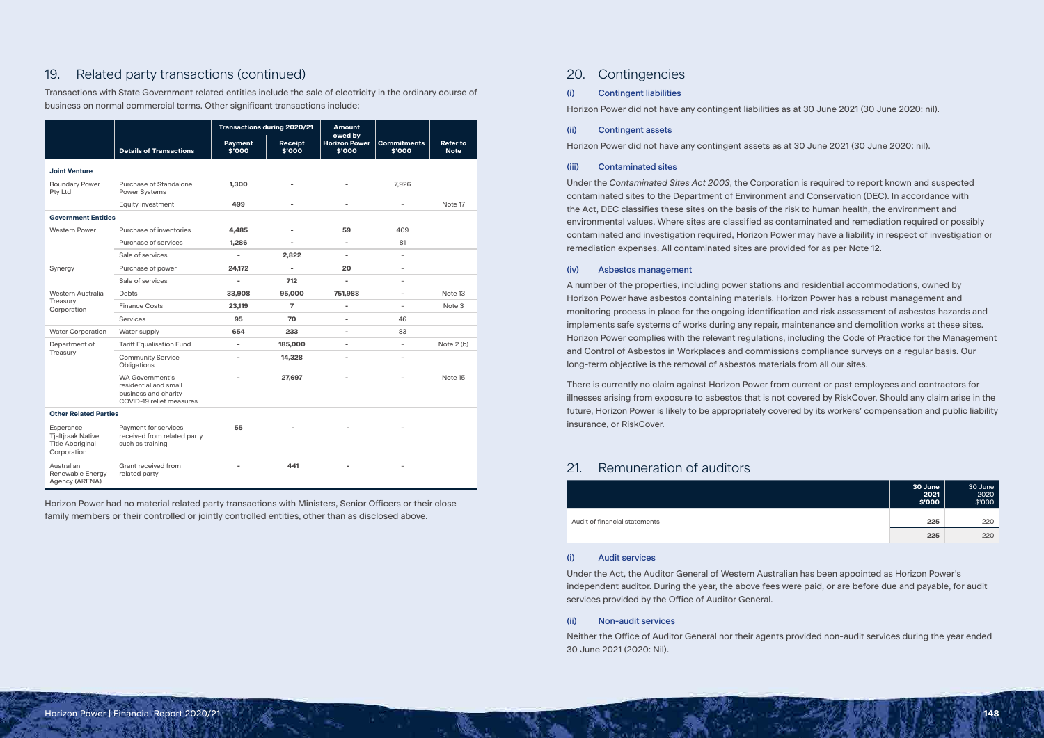# 19. Related party transactions (continued)

Transactions with State Government related entities include the sale of electricity in the ordinary course of business on normal commercial terms. Other significant transactions include:

|                                                                                 |                                                                                                     |                          | <b>Transactions during 2020/21</b> | <b>Amount</b>                             |                              |                                |
|---------------------------------------------------------------------------------|-----------------------------------------------------------------------------------------------------|--------------------------|------------------------------------|-------------------------------------------|------------------------------|--------------------------------|
|                                                                                 | <b>Details of Transactions</b>                                                                      | <b>Payment</b><br>\$'000 | <b>Receipt</b><br>\$'000           | owed by<br><b>Horizon Power</b><br>\$'000 | <b>Commitments</b><br>\$'000 | <b>Refer to</b><br><b>Note</b> |
| <b>Joint Venture</b>                                                            |                                                                                                     |                          |                                    |                                           |                              |                                |
| <b>Boundary Power</b><br>Pty Ltd                                                | Purchase of Standalone<br><b>Power Systems</b>                                                      | 1,300                    |                                    |                                           | 7,926                        |                                |
|                                                                                 | Equity investment                                                                                   | 499                      | $\overline{\phantom{a}}$           | -                                         | $\overline{\phantom{0}}$     | Note 17                        |
| <b>Government Entities</b>                                                      |                                                                                                     |                          |                                    |                                           |                              |                                |
| <b>Western Power</b>                                                            | Purchase of inventories                                                                             | 4,485                    | $\overline{\phantom{a}}$           | 59                                        | 409                          |                                |
|                                                                                 | Purchase of services                                                                                | 1,286                    | $\overline{\phantom{a}}$           | $\overline{\phantom{0}}$                  | 81                           |                                |
|                                                                                 | Sale of services                                                                                    | ä,                       | 2,822                              | -                                         | $\overline{a}$               |                                |
| Synergy                                                                         | Purchase of power                                                                                   | 24,172                   | $\overline{a}$                     | 20                                        | $\overline{\phantom{0}}$     |                                |
|                                                                                 | Sale of services                                                                                    | ä,                       | 712                                |                                           |                              |                                |
| Western Australia                                                               | <b>Debts</b>                                                                                        | 33,908                   | 95,000                             | 751,988                                   | $\overline{a}$               | Note 13                        |
| Treasury<br>Corporation                                                         | <b>Finance Costs</b>                                                                                | 23,119                   | $\overline{7}$                     | $\overline{\phantom{0}}$                  | $\overline{\phantom{0}}$     | Note 3                         |
|                                                                                 | <b>Services</b>                                                                                     | 95                       | 70                                 | ÷,                                        | 46                           |                                |
| <b>Water Corporation</b>                                                        | Water supply                                                                                        | 654                      | 233                                | $\overline{\phantom{0}}$                  | 83                           |                                |
| Department of                                                                   | <b>Tariff Equalisation Fund</b>                                                                     | $\overline{\phantom{a}}$ | 185,000                            |                                           | $\overline{a}$               | Note 2 (b)                     |
| Treasury                                                                        | <b>Community Service</b><br>Obligations                                                             | $\bar{ }$                | 14,328                             | $\overline{\phantom{0}}$                  | $\overline{a}$               |                                |
|                                                                                 | <b>WA Government's</b><br>residential and small<br>business and charity<br>COVID-19 relief measures | $\overline{\phantom{0}}$ | 27,697                             | $\overline{\phantom{0}}$                  | $\overline{a}$               | Note 15                        |
| <b>Other Related Parties</b>                                                    |                                                                                                     |                          |                                    |                                           |                              |                                |
| Esperance<br><b>Tjaltjraak Native</b><br><b>Title Aboriginal</b><br>Corporation | Payment for services<br>received from related party<br>such as training                             | 55                       |                                    |                                           |                              |                                |
| Australian<br>Renewable Energy<br>Agency (ARENA)                                | Grant received from<br>related party                                                                | $\blacksquare$           | 441                                | $\blacksquare$                            | $\overline{a}$               |                                |

Horizon Power had no material related party transactions with Ministers, Senior Officers or their close family members or their controlled or jointly controlled entities, other than as disclosed above.

# 20. Contingencies

# (i) Contingent liabilities

Horizon Power did not have any contingent liabilities as at 30 June 2021 (30 June 2020: nil).

# (ii) Contingent assets

Horizon Power did not have any contingent assets as at 30 June 2021 (30 June 2020: nil).

# (iii) Contaminated sites

Under the *Contaminated Sites Act 2003*, the Corporation is required to report known and suspected contaminated sites to the Department of Environment and Conservation (DEC). In accordance with the Act, DEC classifies these sites on the basis of the risk to human health, the environment and environmental values. Where sites are classified as contaminated and remediation required or possibly contaminated and investigation required, Horizon Power may have a liability in respect of investigation or remediation expenses. All contaminated sites are provided for as per Note 12.

# (iv) Asbestos management

A number of the properties, including power stations and residential accommodations, owned by Horizon Power have asbestos containing materials. Horizon Power has a robust management and monitoring process in place for the ongoing identification and risk assessment of asbestos hazards and implements safe systems of works during any repair, maintenance and demolition works at these sites. Horizon Power complies with the relevant regulations, including the Code of Practice for the Management and Control of Asbestos in Workplaces and commissions compliance surveys on a regular basis. Our long-term objective is the removal of asbestos materials from all our sites.

There is currently no claim against Horizon Power from current or past employees and contractors for illnesses arising from exposure to asbestos that is not covered by RiskCover. Should any claim arise in the future, Horizon Power is likely to be appropriately covered by its workers' compensation and public liability insurance, or RiskCover.

# 21. Remuneration of auditors

**Audit of financial statements** 

| 30 June<br>2021<br>\$'000 | 30 June<br>2020<br>\$'000 |
|---------------------------|---------------------------|
| 225                       | 220                       |
| 225                       | 220                       |

### (i) Audit services

Under the Act, the Auditor General of Western Australian has been appointed as Horizon Power's independent auditor. During the year, the above fees were paid, or are before due and payable, for audit services provided by the Office of Auditor General.

### (ii) Non-audit services

Neither the Office of Auditor General nor their agents provided non-audit services during the year ended 30 June 2021 (2020: Nil).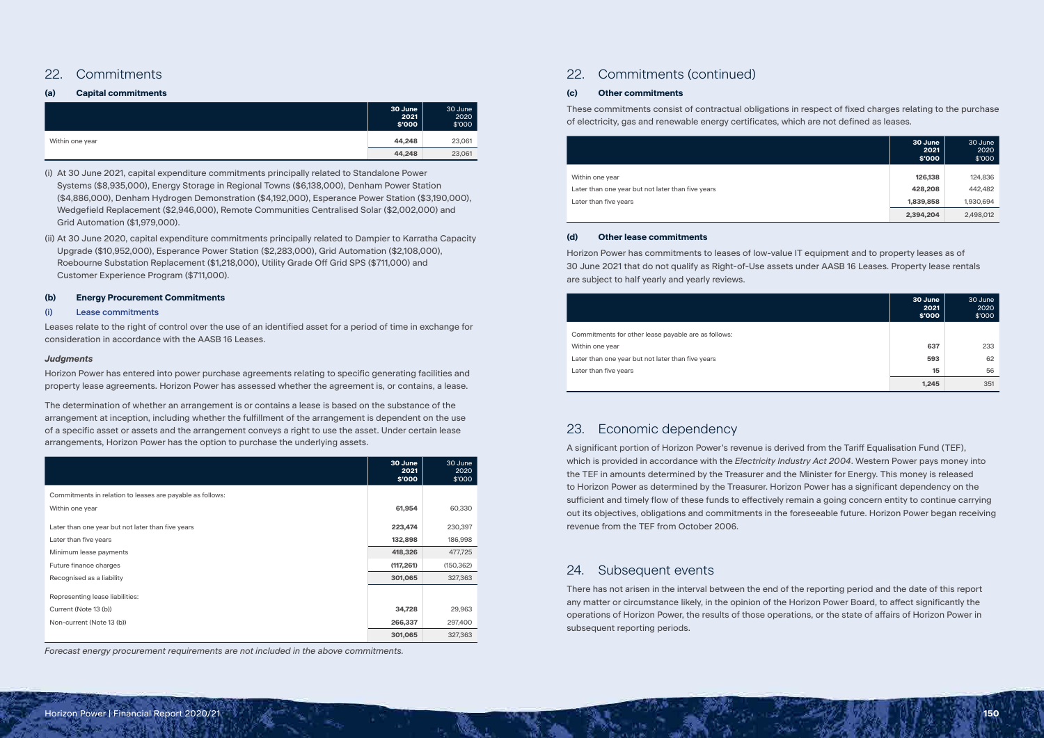# 22. Commitments

# **(a) Capital commitments**

|                 | 30 June<br>2021<br>\$'000 | 30 June<br>2020<br>\$'000 |
|-----------------|---------------------------|---------------------------|
| Within one year | 44,248                    | 23,061                    |
|                 | 44,248                    | 23,061                    |

(i) At 30 June 2021, capital expenditure commitments principally related to Standalone Power Systems (\$8,935,000), Energy Storage in Regional Towns (\$6,138,000), Denham Power Station (\$4,886,000), Denham Hydrogen Demonstration (\$4,192,000), Esperance Power Station (\$3,190,000), Wedgefield Replacement (\$2,946,000), Remote Communities Centralised Solar (\$2,002,000) and Grid Automation (\$1,979,000).

(ii) At 30 June 2020, capital expenditure commitments principally related to Dampier to Karratha Capacity Upgrade (\$10,952,000), Esperance Power Station (\$2,283,000), Grid Automation (\$2,108,000), Roebourne Substation Replacement (\$1,218,000), Utility Grade Off Grid SPS (\$711,000) and Customer Experience Program (\$711,000).

# **(b) Energy Procurement Commitments**

# (i) Lease commitments

Leases relate to the right of control over the use of an identified asset for a period of time in exchange for consideration in accordance with the AASB 16 Leases.

# *Judgments*

Horizon Power has entered into power purchase agreements relating to specific generating facilities and property lease agreements. Horizon Power has assessed whether the agreement is, or contains, a lease.

The determination of whether an arrangement is or contains a lease is based on the substance of the arrangement at inception, including whether the fulfillment of the arrangement is dependent on the use of a specific asset or assets and the arrangement conveys a right to use the asset. Under certain lease arrangements, Horizon Power has the option to purchase the underlying assets.

|                                                           | 30 June<br>2021<br>\$'000 | 30 June<br>2020<br>\$'000 |
|-----------------------------------------------------------|---------------------------|---------------------------|
| Commitments in relation to leases are payable as follows: |                           |                           |
| Within one year                                           | 61,954                    | 60,330                    |
| Later than one year but not later than five years         | 223,474                   | 230,397                   |
| Later than five years                                     | 132,898                   | 186,998                   |
| Minimum lease payments                                    | 418,326                   | 477,725                   |
| Future finance charges                                    | (117, 261)                | (150, 362)                |
| Recognised as a liability                                 | 301,065                   | 327,363                   |
| Representing lease liabilities:                           |                           |                           |
| Current (Note 13 (b))                                     | 34,728                    | 29,963                    |
| Non-current (Note 13 (b))                                 | 266,337                   | 297,400                   |
|                                                           | 301,065                   | 327,363                   |

*Forecast energy procurement requirements are not included in the above commitments.*

# 22. Commitments (continued)

# **(c) Other commitments**

These commitments consist of contractual obligations in respect of fixed charges relating to the purchase of electricity, gas and renewable energy certificates, which are not defined as leases.

|                                                   | 30 June<br>2021<br>\$'000 | 30 June<br>2020<br>\$'000 |
|---------------------------------------------------|---------------------------|---------------------------|
|                                                   |                           |                           |
| Within one year                                   | 126,138                   | 124,836                   |
| Later than one year but not later than five years | 428,208                   | 442,482                   |
| Later than five years                             | 1,839,858                 | 1,930,694                 |
|                                                   | 2,394,204                 | 2,498,012                 |

### **(d) Other lease commitments**

Horizon Power has commitments to leases of low-value IT equipment and to property leases as of 30 June 2021 that do not qualify as Right-of-Use assets under AASB 16 Leases. Property lease rentals are subject to half yearly and yearly reviews.

|                                                     | 30 June<br>2021<br>\$'000 | 30 June<br>2020<br>\$'000 |
|-----------------------------------------------------|---------------------------|---------------------------|
|                                                     |                           |                           |
| Commitments for other lease payable are as follows: |                           |                           |
| Within one year                                     | 637                       | 233                       |
| Later than one year but not later than five years   | 593                       | 62                        |
| Later than five years                               | 15                        | 56                        |
|                                                     | 1,245                     | 351                       |

# 23. Economic dependency

A significant portion of Horizon Power's revenue is derived from the Tariff Equalisation Fund (TEF), which is provided in accordance with the *Electricity Industry Act 2004*. Western Power pays money into the TEF in amounts determined by the Treasurer and the Minister for Energy. This money is released to Horizon Power as determined by the Treasurer. Horizon Power has a significant dependency on the sufficient and timely flow of these funds to effectively remain a going concern entity to continue carrying out its objectives, obligations and commitments in the foreseeable future. Horizon Power began receiving revenue from the TEF from October 2006.

# 24. Subsequent events

There has not arisen in the interval between the end of the reporting period and the date of this report any matter or circumstance likely, in the opinion of the Horizon Power Board, to affect significantly the operations of Horizon Power, the results of those operations, or the state of affairs of Horizon Power in subsequent reporting periods.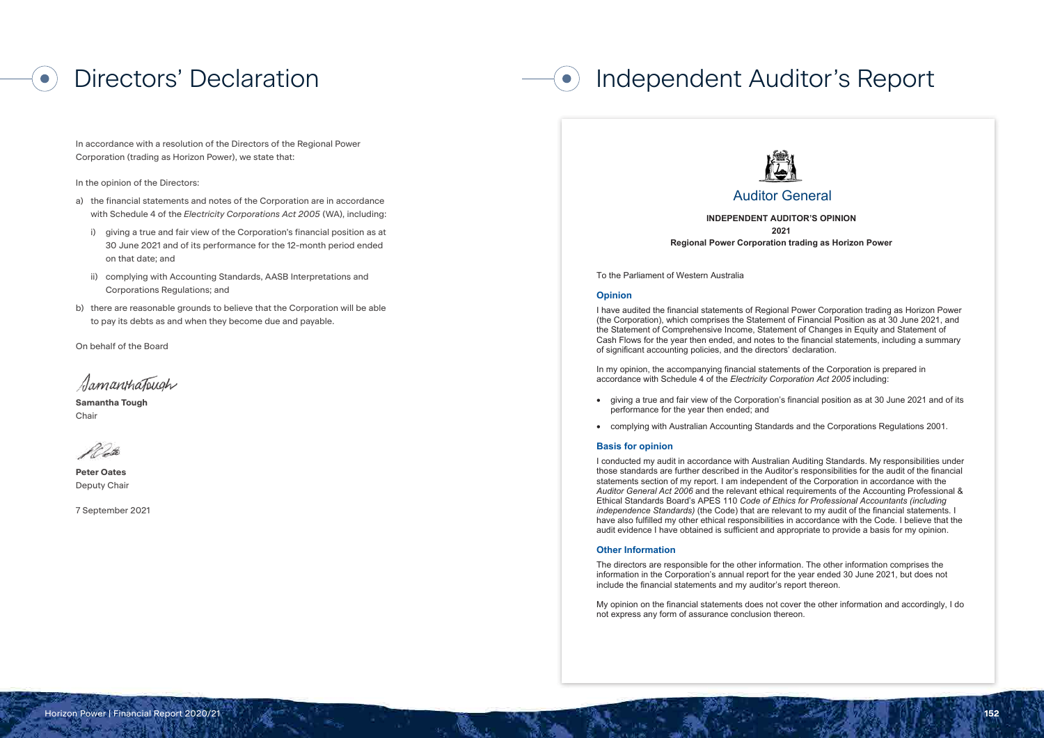In accordance with a resolution of the Directors of the Regional Power Corporation (trading as Horizon Power), we state that:

In the opinion of the Directors:

**Samantha Tough Chair** 

- a) the financial statements and notes of the Corporation are in accordance with Schedule 4 of the *Electricity Corporations Act 2005* (WA), including:
	- i) giving a true and fair view of the Corporation's financial position as at 30 June 2021 and of its performance for the 12-month period ended on that date; and
	- ii) complying with Accounting Standards, AASB Interpretations and Corporations Regulations; and
- b) there are reasonable grounds to believe that the Corporation will be able to pay its debts as and when they become due and payable.

On behalf of the Board

SamanthaTough

**Peter Oates** Deputy Chair

7 September 2021

# Directors' Declaration **Independent Auditor's Report**



# Auditor General

In my opinion, the accompanying financial statements of the Corporation is prepared in accordance with Schedule 4 of the *Electricity Corporation Act 2005* including:

7th Floor Albert Facey House 469 Wellington Street Perth MAIL TO: Perth BC PO Box 8489 Perth WA 6849 TEL: 08 6557

**INDEPENDENT AUDITOR'S OPINION 2021**

**Regional Power Corporation trading as Horizon Power**

To the Parliament of Western Australia

# **Opinion**

I have audited the financial statements of Regional Power Corporation trading as Horizon Power (the Corporation), which comprises the Statement of Financial Position as at 30 June 2021, and the Statement of Comprehensive Income, Statement of Changes in Equity and Statement of Cash Flows for the year then ended, and notes to the financial statements, including a summary of significant accounting policies, and the directors' declaration.

- giving a true and fair view of the Corporation's financial position as at 30 June 2021 and of its performance for the year then ended; and
- complying with Australian Accounting Standards and the Corporations Regulations 2001.

### **Basis for opinion**

I conducted my audit in accordance with Australian Auditing Standards. My responsibilities under those standards are further described in the Auditor's responsibilities for the audit of the financial statements section of my report. I am independent of the Corporation in accordance with the *Auditor General Act 2006* and the relevant ethical requirements of the Accounting Professional & Ethical Standards Board's APES 110 *Code of Ethics for Professional Accountants (including independence Standards)* (the Code) that are relevant to my audit of the financial statements. I have also fulfilled my other ethical responsibilities in accordance with the Code. I believe that the audit evidence I have obtained is sufficient and appropriate to provide a basis for my opinion.

# **Other Information**

The directors are responsible for the other information. The other information comprises the information in the Corporation's annual report for the year ended 30 June 2021, but does not include the financial statements and my auditor's report thereon.

My opinion on the financial statements does not cover the other information and accordingly, I do not express any form of assurance conclusion thereon.